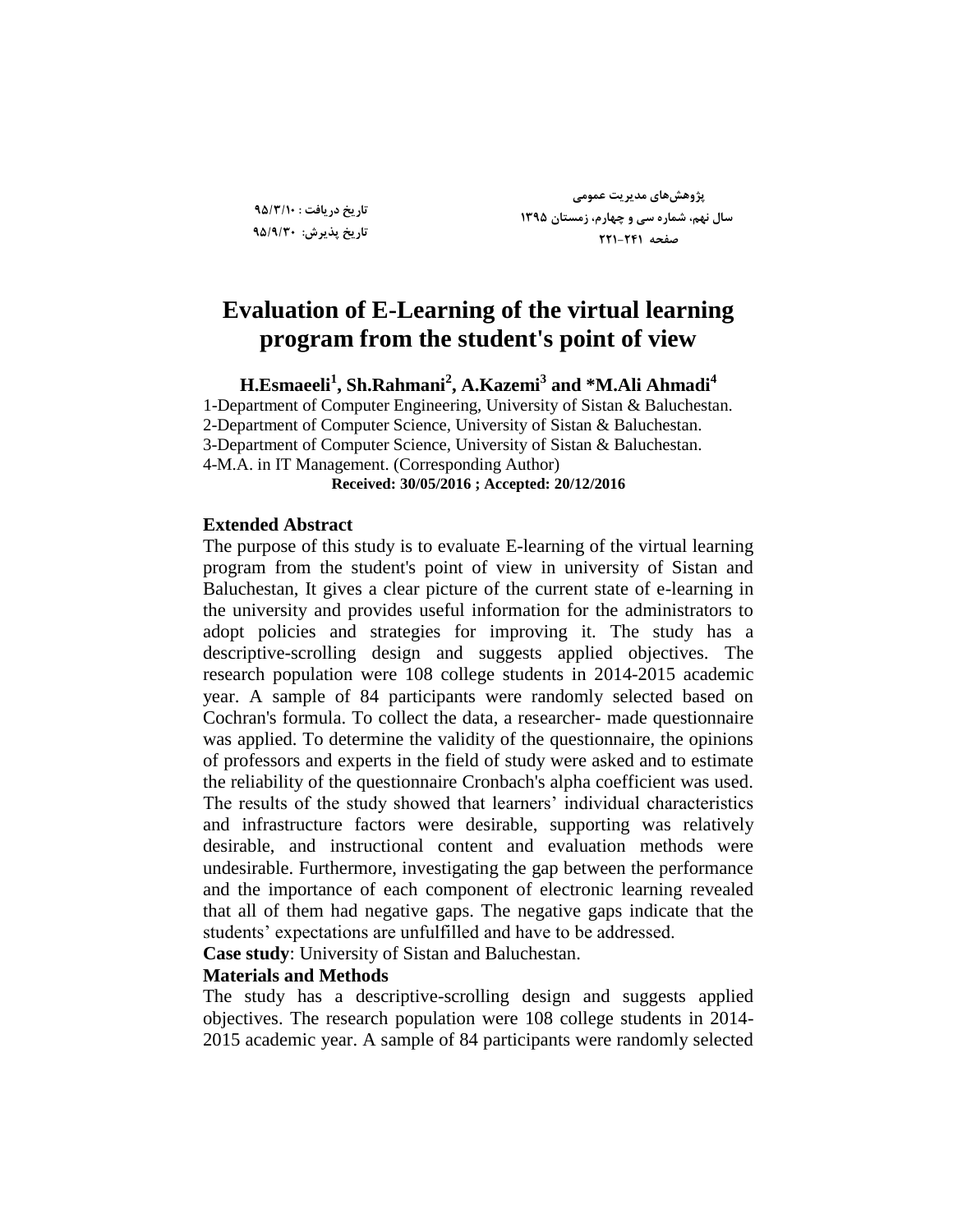**تاضید زضیافت : 95/3/10 تاضید پصیطش: 95/9/30**

**پژٍّصّای هسیطیت عوَهی سال ًْن، ضواضُ سی ٍ چْاضم، ظهستاى 1395 صفحِ 221-241**

# **Evaluation of E-Learning of the virtual learning program from the student's point of view**

**H.Esmaeeli<sup>1</sup> , Sh.Rahmani<sup>2</sup> , A.Kazemi<sup>3</sup> and \*M.Ali Ahmadi<sup>4</sup>**

1-Department of Computer Engineering, University of Sistan & Baluchestan. 2-Department of Computer Science, University of Sistan & Baluchestan. 3-Department of Computer Science, University of Sistan & Baluchestan. 4-M.A. in IT Management. (Corresponding Author) **Received: 30/05/2016 ; Accepted: 20/12/2016**

#### **Extended Abstract**

The purpose of this study is to evaluate E-learning of the virtual learning program from the student's point of view in university of Sistan and Baluchestan, It gives a clear picture of the current state of e-learning in the university and provides useful information for the administrators to adopt policies and strategies for improving it. The study has a descriptive-scrolling design and suggests applied objectives. The research population were 108 college students in 2014-2015 academic year. A sample of 84 participants were randomly selected based on Cochran's formula. To collect the data, a researcher- made questionnaire was applied. To determine the validity of the questionnaire, the opinions of professors and experts in the field of study were asked and to estimate the reliability of the questionnaire Cronbach's alpha coefficient was used. The results of the study showed that learners' individual characteristics and infrastructure factors were desirable, supporting was relatively desirable, and instructional content and evaluation methods were undesirable. Furthermore, investigating the gap between the performance and the importance of each component of electronic learning revealed that all of them had negative gaps. The negative gaps indicate that the students' expectations are unfulfilled and have to be addressed.

**Case study**: University of Sistan and Baluchestan.

# **Materials and Methods**

The study has a descriptive-scrolling design and suggests applied objectives. The research population were 108 college students in 2014- 2015 academic year. A sample of 84 participants were randomly selected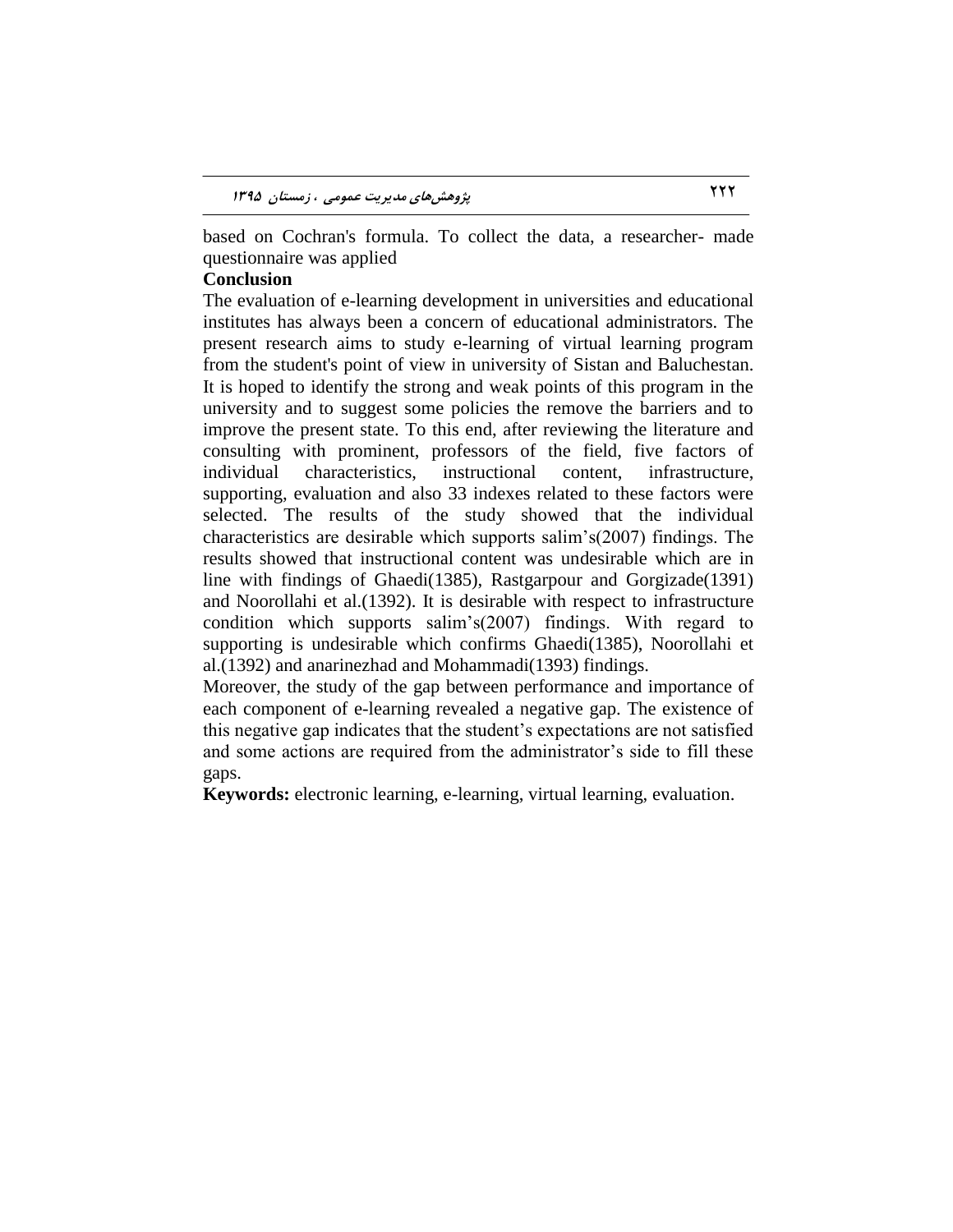based on Cochran's formula. To collect the data, a researcher- made questionnaire was applied

# **Conclusion**

The evaluation of e-learning development in universities and educational institutes has always been a concern of educational administrators. The present research aims to study e-learning of virtual learning program from the student's point of view in university of Sistan and Baluchestan. It is hoped to identify the strong and weak points of this program in the university and to suggest some policies the remove the barriers and to improve the present state. To this end, after reviewing the literature and consulting with prominent, professors of the field, five factors of individual characteristics, instructional content, infrastructure, supporting, evaluation and also 33 indexes related to these factors were selected. The results of the study showed that the individual characteristics are desirable which supports salim's(2007) findings. The results showed that instructional content was undesirable which are in line with findings of Ghaedi(1385), Rastgarpour and Gorgizade(1391) and Noorollahi et al.(1392). It is desirable with respect to infrastructure condition which supports salim's(2007) findings. With regard to supporting is undesirable which confirms Ghaedi(1385), Noorollahi et al.(1392) and anarinezhad and Mohammadi(1393) findings.

Moreover, the study of the gap between performance and importance of each component of e-learning revealed a negative gap. The existence of this negative gap indicates that the student's expectations are not satisfied and some actions are required from the administrator's side to fill these gaps.

**Keywords:** electronic learning, e-learning, virtual learning, evaluation.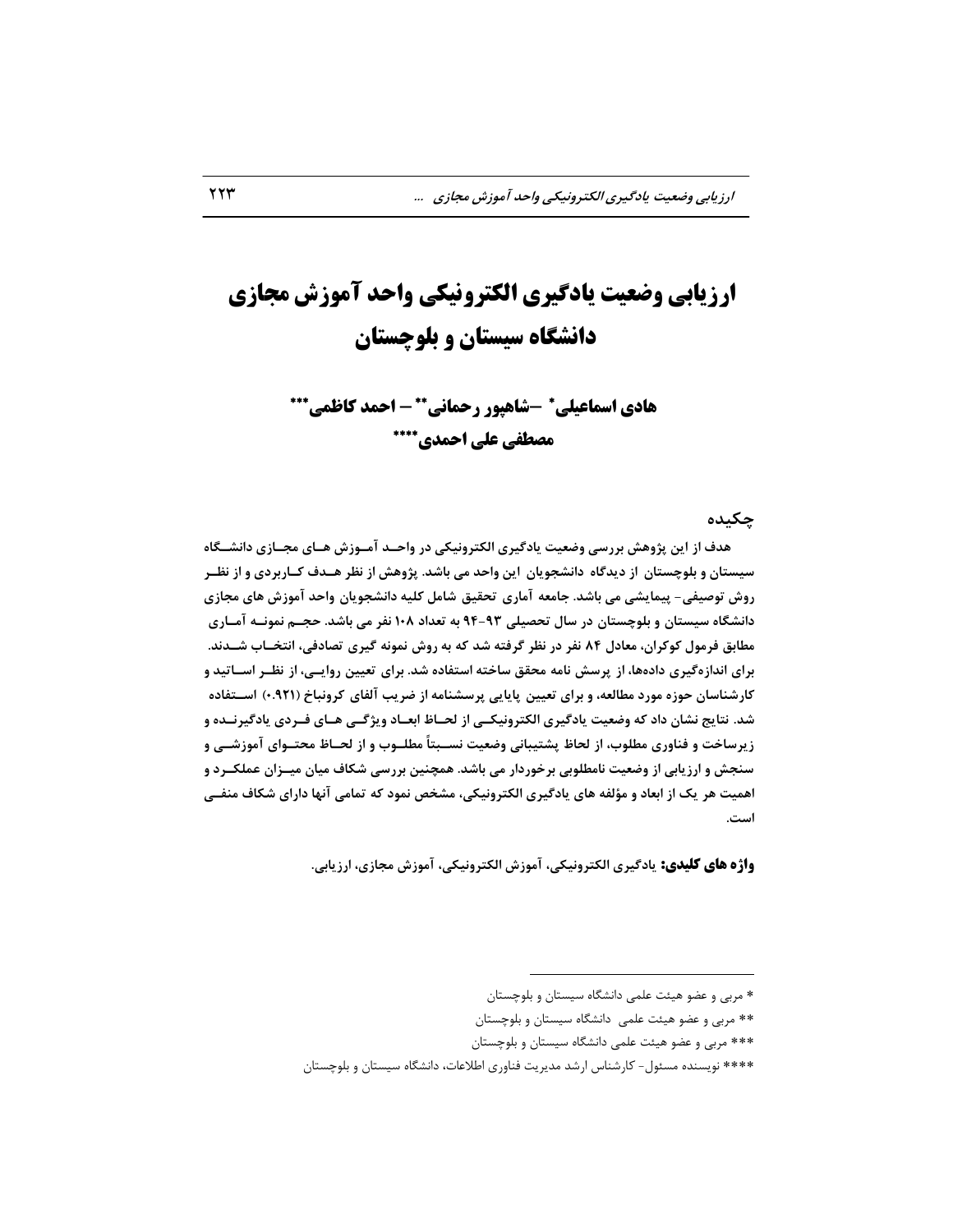# **ارزیابی وضعیت یادگیری الکترونیکی واحد آموزش مجازی دانشگاه سیستان و بلوچستان**

**-شاهپور رحمانی هادی اسماعیلی - احمد کاظمی مصطفی علی احمدی**

**چکیسُ**

هدف از این پژوهش بررسی وضعیت یادگیری الکترونیکی در واحـد آمـوزش هـای مجـازی دانشــگاه سیستان و بلوچستان از دیدگاه دانشجویان این واحد می باشد. پژوهش از نظر هــدف کــاربردی و از نظــر **ضٍش تَصیفی- پیوایطی هی باضس. جاهعِ آهاضی تحقیق ضاهل الیِ زاًطجَیاى ٍاحس آهَظش ّای هجاظی زاًطااُ سیستاى ٍ بلَچستاى زض سال تحصیلی 94-93 بِ تعساز 108 ًفط هی باضس. حجدن ًوًَدِ آهداضی هطابق فطهَل اَاطاى، هعازل 84 ًفط زض ًظط گطفتِ ضس اِ بِ ضٍش ًوًَِ گیطی تصازفی، اًتردا ضدس ًس. بطای اًساظُگیطی زازُّا، اظ پطسص ًاهِ هحقق ساذتِ استفازُ ضس. بطای تعییي ضٍایدی ، اظ ًظدط اسداتیس ٍ**  کارشناسان حوزه مورد مطالعه، و برای تعیین پایایی پرسشنامه از ضریب آلفای کرونباخ (۹۲۱.) اســتفاده شد. نتایج نشان داد که وضعیت یادگیری الکترونیکـی از لحــاظ ابعــاد ویژگــی هــای فــردی یادگیرنــده و زیرساخت و فناوری مطلوب، از لحاظ پشتیبانی وضعیت نســبتاً مطلــوب و از لحــاظ محتــوای آموزشــی و سنجش و ارزیابی از وضعیت نامطلوبی برخوردار می باشد. همچنین بررسی شکاف میان میــزان عملکــرد و اهمیت هر یک از ابعاد و مؤلفه های یادگیری الکترونیکی، مشخص نمود که تمامی آنها دارای شکاف منفــی **است.**

**واژه های کلیدی:** یادگیری الکترونیکی، آموزش الکترونیکی، آموزش مجازی، ارزیابی.

 $\overline{a}$ 

ٔطثی ٚ ػضٛ ٞیئت ػّٕی زا٘طٍبٜ سیستبٖ ٚ ثّٛچستبٖ

ٔطثی ٚ ػضٛ ٞیئت ػّٕی زا٘طٍبٜ سیستبٖ ٚ ثّٛچستبٖ

ٔطثی ٚ ػضٛ ٞیئت ػّٕی زا٘طٍبٜ سیستبٖ ٚ ثّٛچستبٖ

<sup>\*\*\*\*</sup> نویسنده مسئول- کارشناس ارشد مدیریت فناوری اطلاعات، دانشگاه سیستان و بلوچستان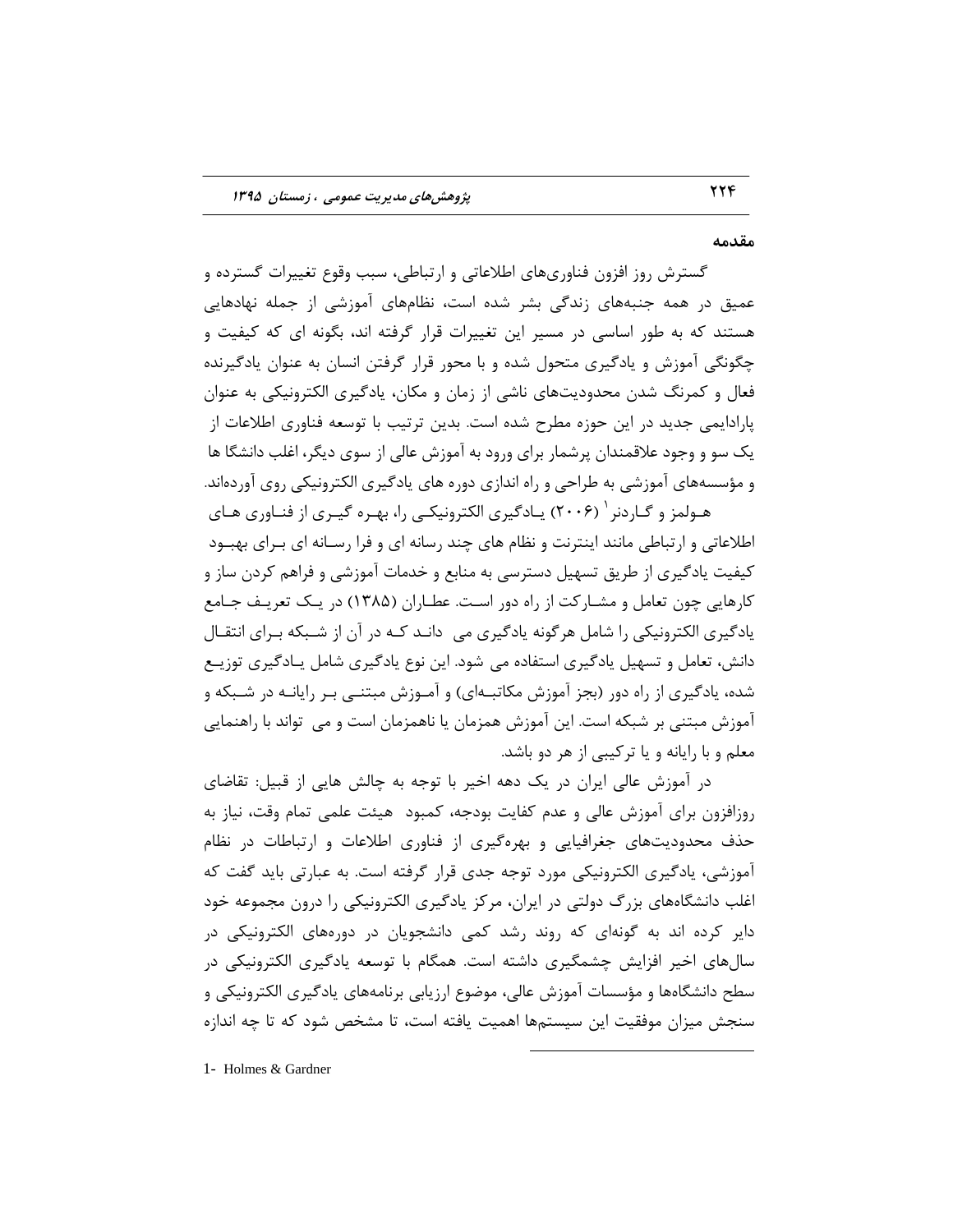#### **هقسهِ**

گسترش روز افزون فناوریهای اطلاعاتی و ارتباطی، سبب وقوع تغییرات گسترده و عمیق در همه جنبههای زندگی بشر شده است، نظامهای آموزشی از جمله نهادهایی هستند که به طور اساسی در مسیر این تغییرات قرار گرفته اند، بگونه ای که کیفیت و چگونگی آموزش و یادگیری متحول شده و با محور قرار گرفتن انسان به عنوان یادگیرنده فعال و کمرنگ شدن محدودیتهای ناشی از زمان و مکان، یادگیری الکترونیکی به عنوان پارادایمی جدید در این حوزه مطرح شده است. بدین ترتیب با توسعه فناوری اطلاعات از یک سو و وجود علاقمندان پرشمار برای ورود به آموزش عالی از سوی دیگر، اغلب دانشگا ها و مؤسسههای آموزشی به طراحی و راه اندازی دوره های یادگیری الکترونیکی روی آوردهاند.

هـولمز و گــاردنر ` (۲۰۰۶) يــادگيرى الكترونيكــى را، بهـره گيــرى از فنــاورى هــاى اطلاعاتی و ارتباطی مانند اینترنت و نظام های چند رسانه ای و فرا رسـانه ای بـرای بهبـود کیفیت یادگیری از طریق تسهیل دسترسی به منابع و خدمات آموزشی و فراهم کردن ساز و کارهایی چون تعامل و مشـارکت از راه دور اسـت. عطـاران (۱۳۸۵) در یـک تعریـف جـامع یادگیری الکترونیکی را شامل هرگونه یادگیری می دانـد کـه در آن از شـبکه بـرای انتقـال دانش، تعامل و تسهیل یادگیری استفاده می شود. این نوع یادگیری یادگیری توزیـع شده، یادگیری از راه دور (بجز آموزش مکاتبـهای) و آمـوزش مبتنـی بـر رایانـه در شـبکه و آموزش مبتنی بر شبکه است. این آموزش همزمان یا ناهمزمان است و می ِ تواند با راهنمایی معلم و با رایانه و یا ترکیبی از هر دو باشد.

در آموزش عالی ایران در یک دهه اخیر با توجه به چالش هایی از قبیل: تقاضای روزافزون برای آموزش عالی و عدم کفایت بودجه، کمبود هیئت علمی تمام وقت، نیاز به حذف محدودیتهای جغرافیایی و بهرهگیری از فناوری اطلاعات و ارتباطات در نظام آموزشی، یادگیری الکترونیکی مورد توجه جدی قرار گرفته است. به عبارتی باید گفت که اغلب دانشگاههای بزرگ دولتی در ایران، مرکز یادگیری الکترونیکی را درون مجموعه خود دایر کرده اند به گونهای که روند رشد کمی دانشجویان در دورههای الکترونیکی در سالهای اخیر افزایش چشمگیری داشته است. همگام با توسعه یادگیری الکترونیکی در سطح دانشگاهها و مؤسسات آموزش عالی، موضوع ارزیابی برنامههای یادگیری الکترونیکی و سنجش میزان موفقیت این سیستمها اهمیت یافته است، تا مشخص شود که تا چه اندازه

 $\overline{a}$ 

1- Holmes & Gardner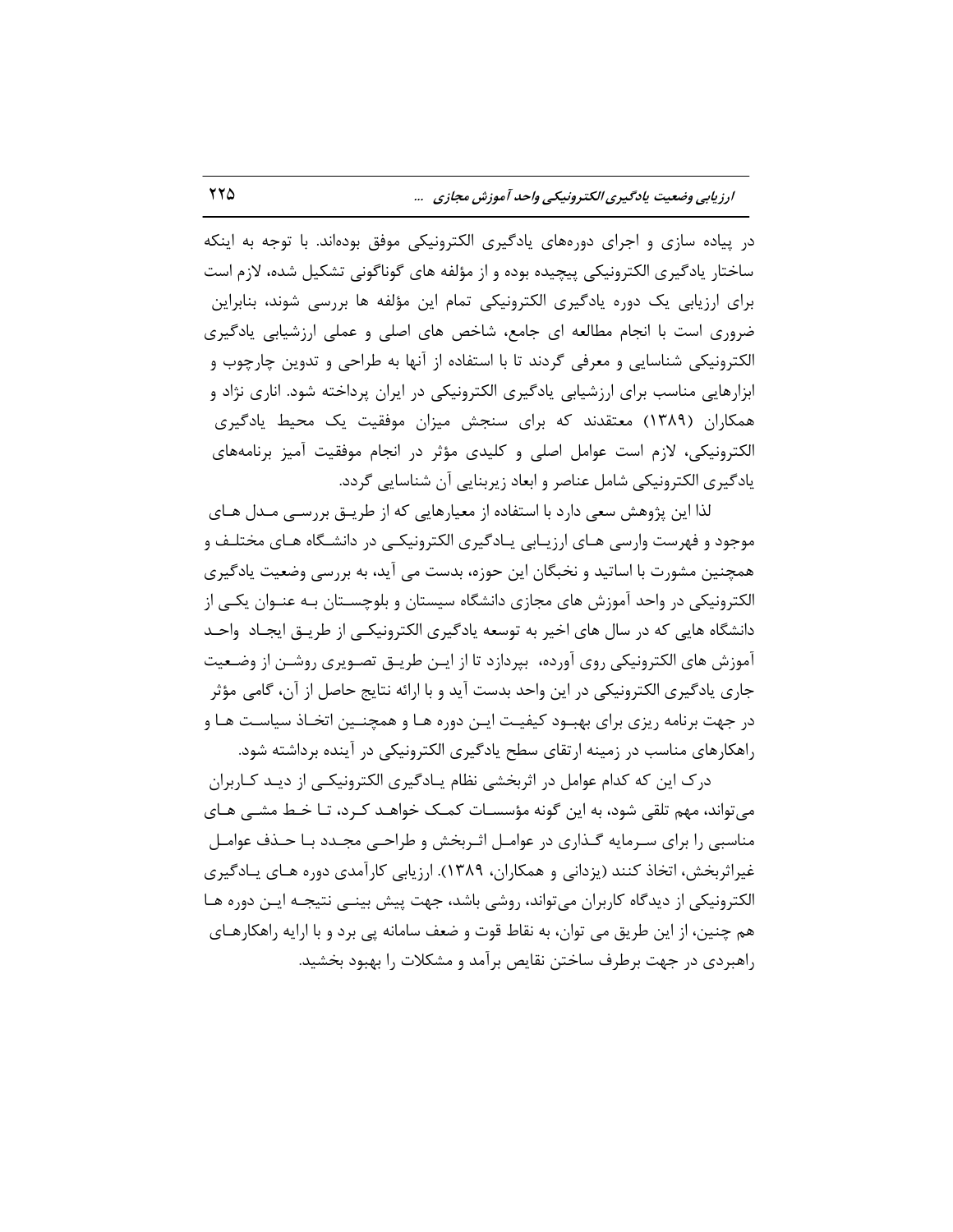**اضظیابی ٍضعیت یازگیطی الکتطًٍیکی ٍاحس آهَظش هجاظی ...** 225

در پیاده سازی و اجرای دورههای یادگیری الکترونیکی موفق بودهاند. با توجه به اینکه ساختار یادگیری الکترونیکی پیچیده بوده و از مؤلفه های گوناگونی تشکیل شده، لازم است برای ارزیابی یک دوره یادگیری الکترونیکی تمام این مؤلفه ها بررسی شوند، بنابراین ضروری است با انجام مطالعه ای جامع، شاخص های اصلی و عملی ارزشیابی یادگیری الکترونیکی شناسایی و معرفی گردند تا با استفاده از آنها به طراحی و تدوین چارچوب و ابزارهایی مناسب برای ارزشیابی یادگیری الکترونیکی در ایران پرداخته شود. اناری نژاد و همکاران (۱۳۸۹) معتقدند که برای سنجش میزان موفقیت یک محیط یادگیری الکترونیکی، لازم است عوامل اصلی و کلیدی مؤثر در انجام موفقیت آمیز برنامههای یادگیری الکترونیکی شامل عناصر و ابعاد زیربنایی آن شناسایی گردد.

لذا این پژوهش سعی دارد با استفاده از معیارهایی که از طریـق بررسـی مـدل هـای موجود و فهرست وارسی هـای ارزیـابی یـادگیری الکترونیکـی در دانشـگاه هـای مختلـف و همچنین مشورت با اساتید و نخبگان این حوزه، بدست می آید، به بررسی وضعیت یادگیری الکترونیکی در واحد آموزش های مجازی دانشگاه سیستان و بلوچسـتان بـه عنـوان یکـی از دانشگاه هایی که در سال های اخیر به توسعه یادگیری الکترونیکـی از طریـق ایجـاد واحـد آموزش های الکترونیکی روی آورده، بپردازد تا از ایـن طریـق تصـویری روشـن از وضـعیت جاری یادگیری الکترونیکی در این واحد بدست آید و با ارائه نتایج حاصل از آن، گامی مؤثر در جهت برنامه ریزی برای بهبـود کیفیـت ایـن دوره هـا و همچنـین اتخـاذ سیاسـت هـا و راهکارهای مناسب در زمینه ارتقای سطح یادگیری الکترونیکی در آینده برداشته شود.

درک این که کدام عوامل در اثربخشی نظام یـادگیری الکترونیکـی از دیـد کـاربران میتواند، مهم تلقی شود، به این گونه مؤسسـات کمـک خواهـد کـرد، تـا خـط مشـی هـای مناسبی را برای سـرمایه گـذاری در عوامـل اثـربخش و طراحـی مجـدد بـا حـذف عوامـل غیراثربخش، اتخاذ کنند (یزدانی و همکاران، ۱۳۸۹). ارزیابی کارآمدی دوره هـای یــادگیری الکترونیکی از دیدگاه کاربران میتواند، روشی باشد، جهت پیش بینـی نتیجـه ایـن دوره هـا هم چنین، از این طریق می توان، به نقاط قوت و ضعف سامانه پی برد و با ارایه راهکارهـای راهبردی در جهت برطرف ساختن نقایص برآمد و مشکلات را بهبود بخشید.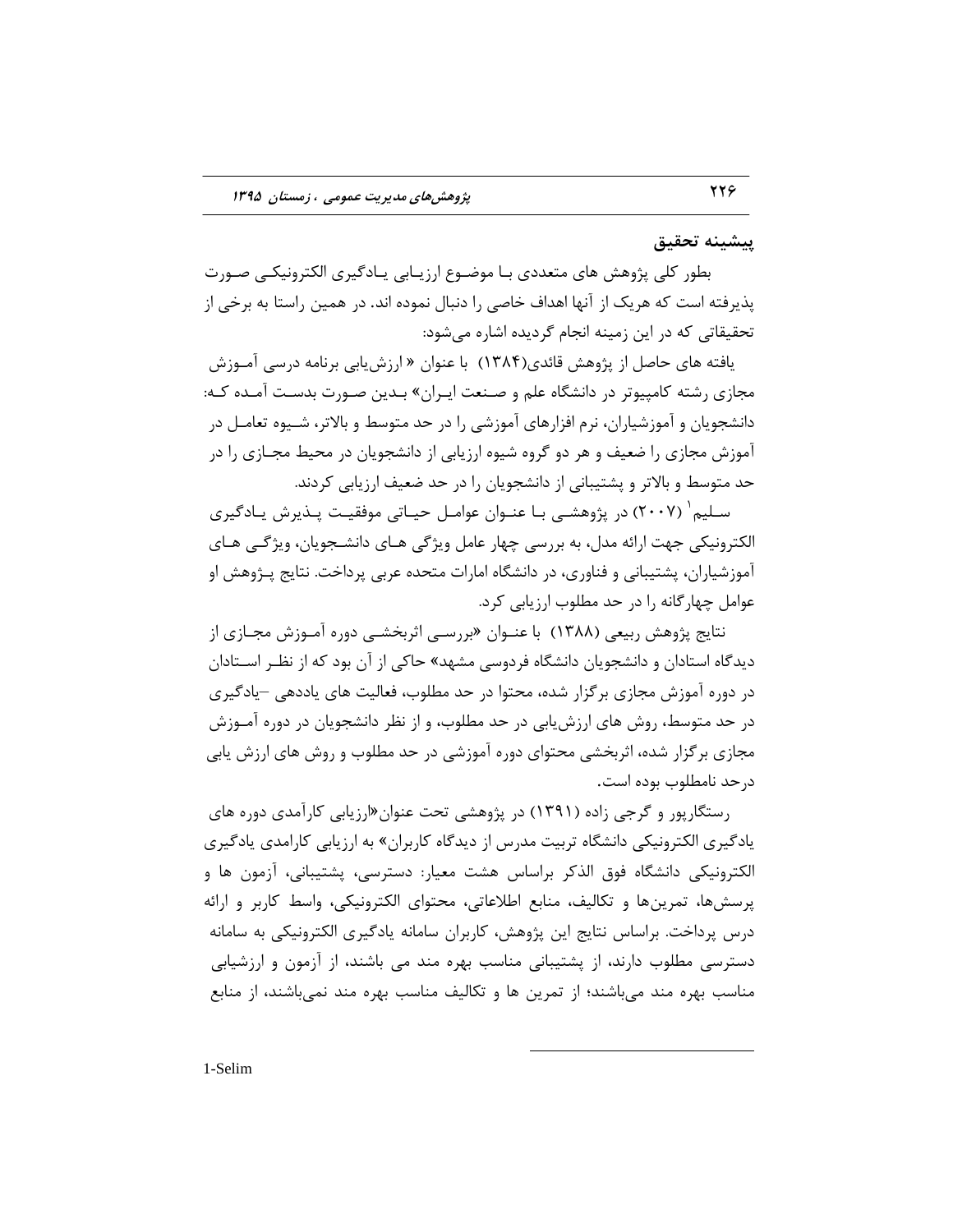# **پیطیٌِ تحقیق**

بطور کلی پژوهش های متعددی بـا موضـوع ارزیـابی یـادگیری الکترونیکـی صـورت پذیرفته است که هریک از آنها اهداف خاصی را دنبال نموده اند. در همین راستا به برخی از تحقیقاتی که در این زمینه انجام گردیده اشاره میشود:

یافته های حاصل از پژوهش قائدی(۱۳۸۴) با عنوان « ارزش یابی برنامه درسی آمـوزش مجازی رشته کامپیوتر در دانشگاه علم و صـنعت ایـران» بـدین صـورت بدسـت آمـده کـه: دانشجویان و آموزشیاران، نرم افزارهای آموزشی را در حد متوسط و بالاتر، شـیوه تعامـل در آموزش مجازی را ضعیف و هر دو گروه شیوه ارزیابی از دانشجویان در محیط مجـازی را در حد متوسط و بالاتر و پشتیبانی از دانشجویان را در حد ضعیف ارزیابی کردند.

سـلیم` (۲۰۰۷) در پژوهشـی بـا عنـوان عوامـل حیـاتی موفقیـت پـذیرش یـادگیری الکترونیکی جهت ارائه مدل، به بررسی چهار عامل ویژگی هـای دانشـجویان، ویژگـی هـای آموزشیاران، پشتیبانی و فناوری، در دانشگاه امارات متحده عربی پرداخت. نتایج پـژوهش او عوامل چهارگانه را در حد مطلوب ارزیابی کرد.

نتایج پژوهش ربیعی (۱۳۸۸) با عنــوان «بررســی اثربخشــی دوره آمــوزش مجــازی از دیدگاه استادان و دانشجویان دانشگاه فردوسی مشهد» حاکی از آن بود که از نظـر اســتادان در دوره آموزش مجازی برگزار شده، محتوا در حد مطلوب، فعالیت های یاددهی –یادگیری در حد متوسط، روش های ارزش یابی در حد مطلوب، و از نظر دانشجویان در دوره آمـوزش مجازی بر گزار شده، اثربخشی محتوای دوره آموزشی در حد مطلوب و روش های ارزش یابی درحد نامطلوب بوده است.

رستگارپور و گرجی زاده (۱۳۹۱) در پژوهشی تحت عنوان«ارزیابی کارآمدی دوره های یادگیری الکترونیکی دانشگاه تربیت مدرس از دیدگاه کاربران» به ارزیابی کارامدی یادگیری الکترونیکی دانشگاه فوق الذکر براساس هشت معیار: دسترسی، پشتیبانی، آزمون ها و پرسشها، تمرینها و تکالیف، منابع اطلاعاتی، محتوای الکترونیکی، واسط کاربر و ارائه درس پرداخت. براساس نتایج این پژوهش، کاربران سامانه پادگیری الکترونیکی به سامانه دسترسی مطلوب دارند، از پشتیبانی مناسب بهره مند می باشند، از آزمون و ارزشیابی مناسب بهره مند میباشند؛ از تمرین ها و تکالیف مناسب بهره مند نمیباشند، از منابع

 $\overline{a}$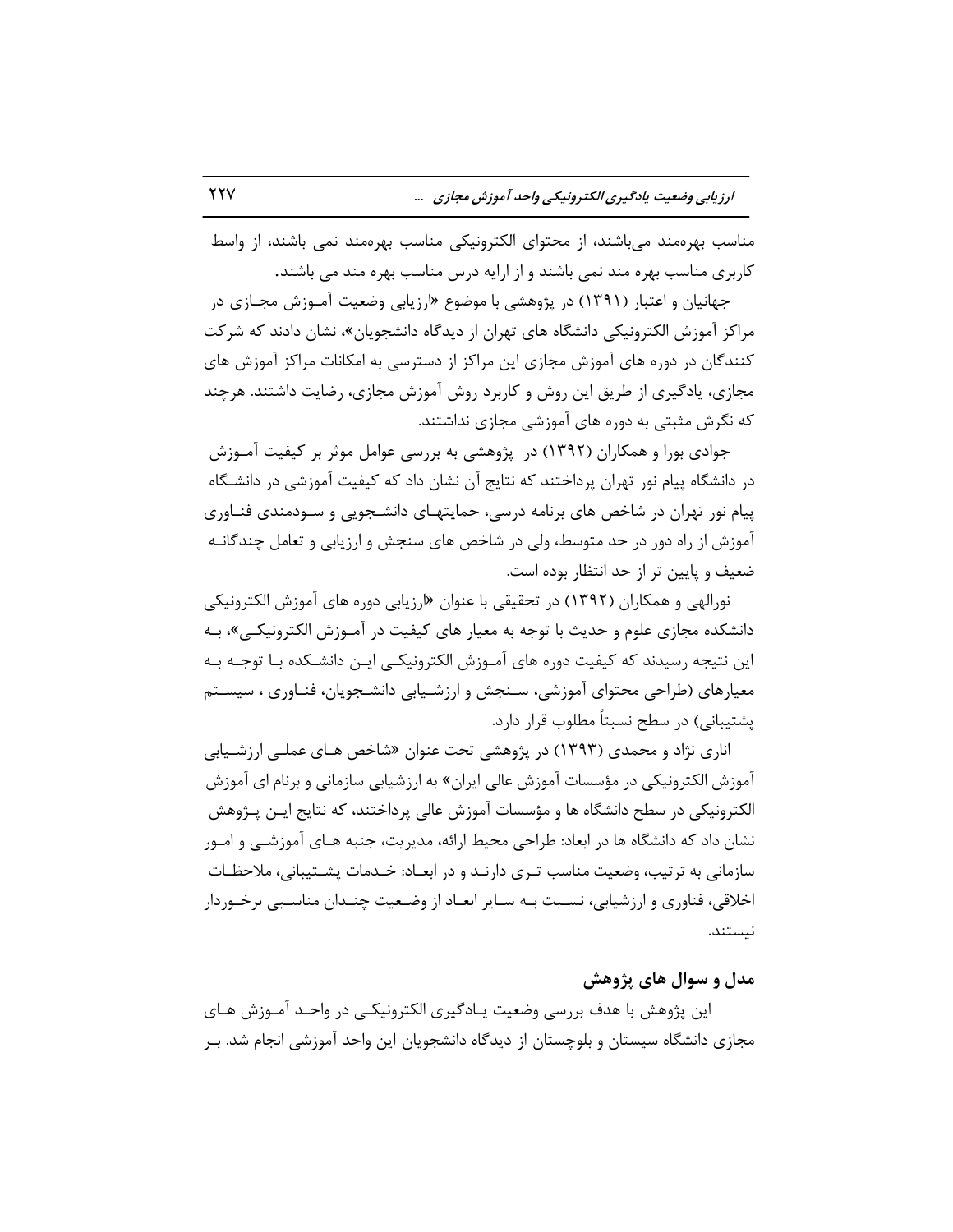مناسب بهرهمند می باشند، از محتوای الکترونیکی مناسب بهرهمند نمی باشند، از واسط کاربری مناسب بهره مند نمی باشند و از ارایه درس مناسب بهره مند می باشند.

جهانیان و اعتبار (۱۳۹۱) در پژوهشی با موضوع «ارزیابی وضعیت آمــوزش مجــازی در مراکز آموزش الکترونیکی دانشگاه های تهران از دیدگاه دانشجویان»، نشان دادند که شرکت کنندگان در دوره های آموزش مجازی این مراکز از دسترسی به امکانات مراکز آموزش های مجازی، یادگیری از طریق این روش و کاربرد روش آموزش مجازی، رضایت داشتند. هرچند که نگرش مثبتی به دوره های آموزشی مجازی نداشتند.

جوادی بورا و همکاران (۱۳۹۲) در پژوهشی به بررسی عوامل موثر بر کیفیت آمـوزش در دانشگاه پیام نور تهران پرداختند که نتایج آن نشان داد که کیفیت آموزشی در دانشـگاه پیام نور تهران در شاخص های برنامه درسی، حمایتهـای دانشـجویی و سـودمندی فنــاوری آموزش از راه دور در حد متوسط، ولی در شاخص های سنجش و ارزیابی و تعامل چندگانـه ضعیف و پایین تر از حد انتظار بوده است.

نورالهی و همکاران (۱۳۹۲) در تحقیقی با عنوان «ارزیابی دوره های آموزش الکترونیکی دانشکده مجازی علوم و حدیث با توجه به معیار های کیفیت در آمـوزش الکترونیکـی»، بـه این نتیجه رسیدند که کیفیت دوره های آمـوزش الکترونیکـی ایـن دانشـکده بـا توجـه بـه معیارهای (طراحی محتوای آموزشی، سـنجش و ارزشـیابی دانشـجویان، فنـاوری ، سیسـتم یشتیبانی) در سطح نسبتاً مطلوب قرار دارد.

اناری نژاد و محمدی (۱۳۹۳) در پژوهشی تحت عنوان «شاخص هـای عملـی ارزشـیابی آموزش الکترونیکی در مؤسسات آموزش عالی ایران» به ارزشیابی سازمانی و برنام ای آموزش الکترونیکی در سطح دانشگاه ها و مؤسسات آموزش عالی پرداختند، که نتایج ایـن پـژوهش نشان داد که دانشگاه ها در ابعاد: طراحی محیط ارائه، مدیریت، جنبه هـای آموزشــی و امــور سازمانی به ترتیب، وضعیت مناسب تـری دارنـد و در ابعـاد: خـدمات پشــتیبانی، ملاحظـات اخلاقی، فناوری و ارزشیابی، نسـبت بـه سـایر ابعـاد از وضـعیت چنـدان مناسـبی برخـوردار نىستند.

# هدل و سوال های پژوهش

این پژوهش با هدف بررسی وضعیت یـادگیری الکترونیکـی در واحـد آمـوزش هـای مجازی دانشگاه سیستان و بلوچستان از دیدگاه دانشجویان این واحد آموزشی انجام شد. بـر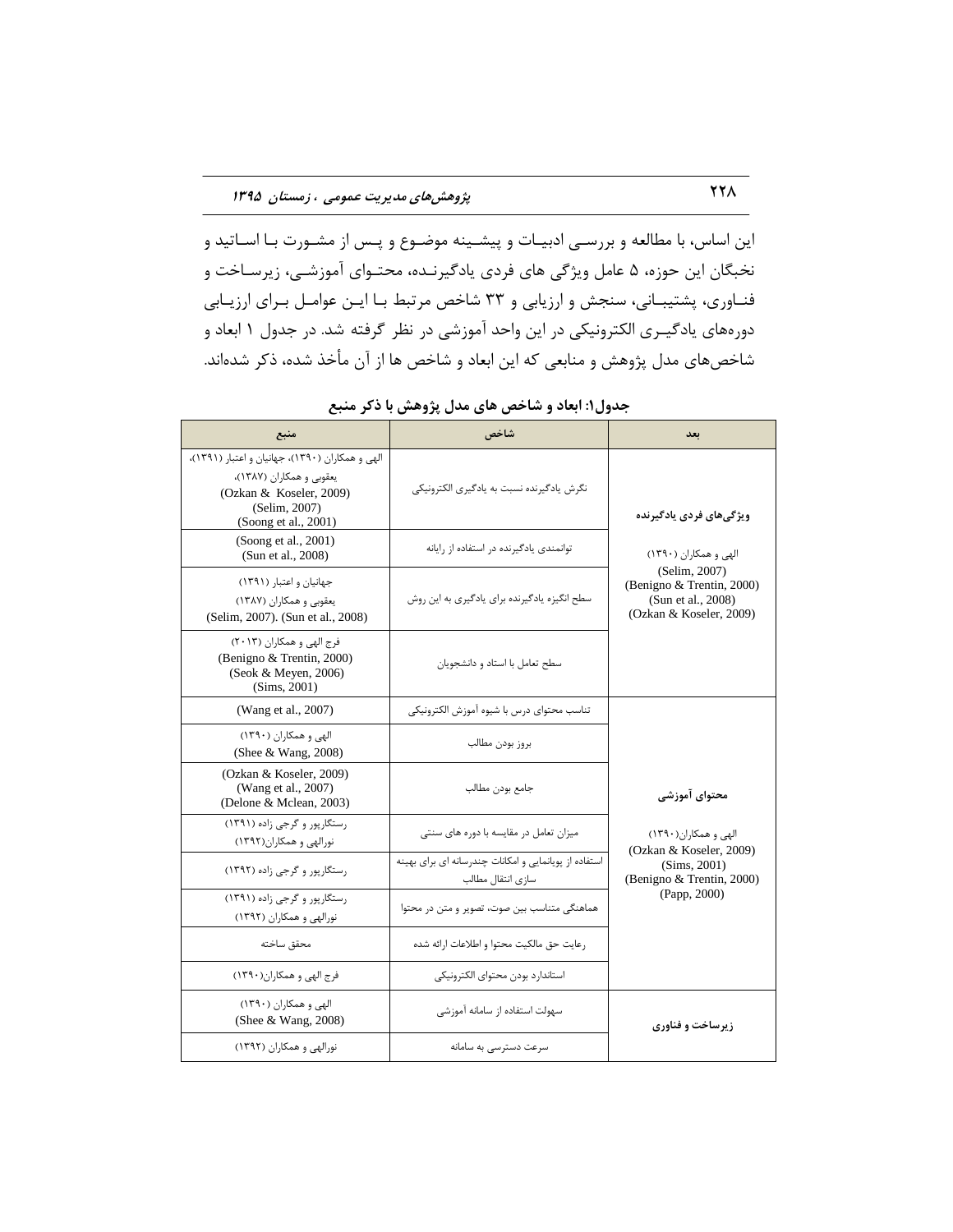این اساس، با مطالعه و بررسـی ادبیـات و پیشـینه موضـوع و پـس از مشـورت بـا اســاتید و نخبگان این حوزه، ۵ عامل ویژگی های فردی یادگیرنـده، محتـوای آموزشـی، زیرسـاخت و فنـاوری، پشتیبـانی، سنجش و ارزیابی و ٣٣ شاخص مرتبط بـا ایـن عوامـل بـرای ارزیـابی دورههای یادگیـری الکترونیکی در این واحد آموزشی در نظر گرفته شد. در جدول ۱ ابعاد و شاخصهای مدل پژوهش و منابعی که این ابعاد و شاخص ها از آن مأخذ شده، ذکر شدهاند.

| منبع                                                                                                                                            | شاخص                                                                       | بعد                                                                                         |
|-------------------------------------------------------------------------------------------------------------------------------------------------|----------------------------------------------------------------------------|---------------------------------------------------------------------------------------------|
| الهی و همکاران (۱۳۹۰)، جهانیان و اعتبار (۱۳۹۱)،<br>یعقوبی و همکاران (۱۳۸۷)،<br>(Ozkan & Koseler, 2009)<br>(Selim, 2007)<br>(Soong et al., 2001) | نگرش یادگیرنده نسبت به یادگیری الکترونیکی                                  | ویژگی های فردی یادگیرنده                                                                    |
| (Soong et al., 2001)<br>(Sun et al., 2008)                                                                                                      | توانمندی یادگیرنده در استفاده از رایانه                                    | الهی و همکاران (۱۳۹۰)                                                                       |
| جهانیان و اعتبار (۱۳۹۱)<br>یعقوبی و همکاران (۱۳۸۷)<br>(Selim, 2007). (Sun et al., 2008)                                                         | سطح انگیزه یادگیرنده برای یادگیری به این روش                               | (Selim, 2007)<br>(Benigno & Trentin, 2000)<br>(Sun et al., 2008)<br>(Ozkan & Koseler, 2009) |
| فرج الهي و همكاران (٢٠١٣)<br>(Benigno & Trentin, 2000)<br>(Seok & Meyen, 2006)<br>(Sims, 2001)                                                  | سطح تعامل با استاد و دانشجویان                                             |                                                                                             |
| (Wang et al., 2007)                                                                                                                             | تناسب محتواي درس با شيوه آموزش الكترونيكي                                  |                                                                                             |
| الهی و همکاران (۱۳۹۰)<br>(Shee & Wang, 2008)                                                                                                    | بروز بودن مطالب                                                            |                                                                                             |
| (Ozkan & Koseler, 2009)<br>(Wang et al., 2007)<br>(Delone & Mclean, 2003)                                                                       | جامع بودن مطالب                                                            | محتواي آموزشي                                                                               |
| رستگارپور و گرجی زاده (۱۳۹۱)<br>نورالهی و همکاران(۱۳۹۲)                                                                                         | میزان تعامل در مقایسه با دوره های سنتی                                     | الهی و همکاران(۱۳۹۰)<br>(Ozkan & Koseler, 2009)                                             |
| رستگاریور و گرجی زاده (۱۳۹۲)                                                                                                                    | استفاده از پویانمایی و امکانات چندرسانه ای برای بهینه<br>سازى انتقال مطالب | (Sims, 2001)<br>(Benigno & Trentin, 2000)                                                   |
| رستگاریور و گرجی زاده (۱۳۹۱)<br>نورالهی و همکاران (۱۳۹۲)                                                                                        | هماهنگی متناسب بین صوت، تصویر و متن در محتوا                               | (Papp, 2000)                                                                                |
| محقق ساخته                                                                                                                                      | رعايت حق مالكيت محتوا و اطلاعات ارائه شده                                  |                                                                                             |
| فرج الهي و همكاران(١٣٩٠)                                                                                                                        | استاندارد بودن محتواى الكترونيكي                                           |                                                                                             |
| الهی و همکاران (۱۳۹۰)<br>(Shee & Wang, $2008$ )                                                                                                 | سهولت استفاده از سامانه آموزشی                                             | زيرساخت و فناوري                                                                            |
| نورالهی و همکاران (۱۳۹۲)                                                                                                                        | سرعت دسترسی به سامانه                                                      |                                                                                             |

جدول۱: ابعاد و شاخص های مدل پژوهش با ذکر منبع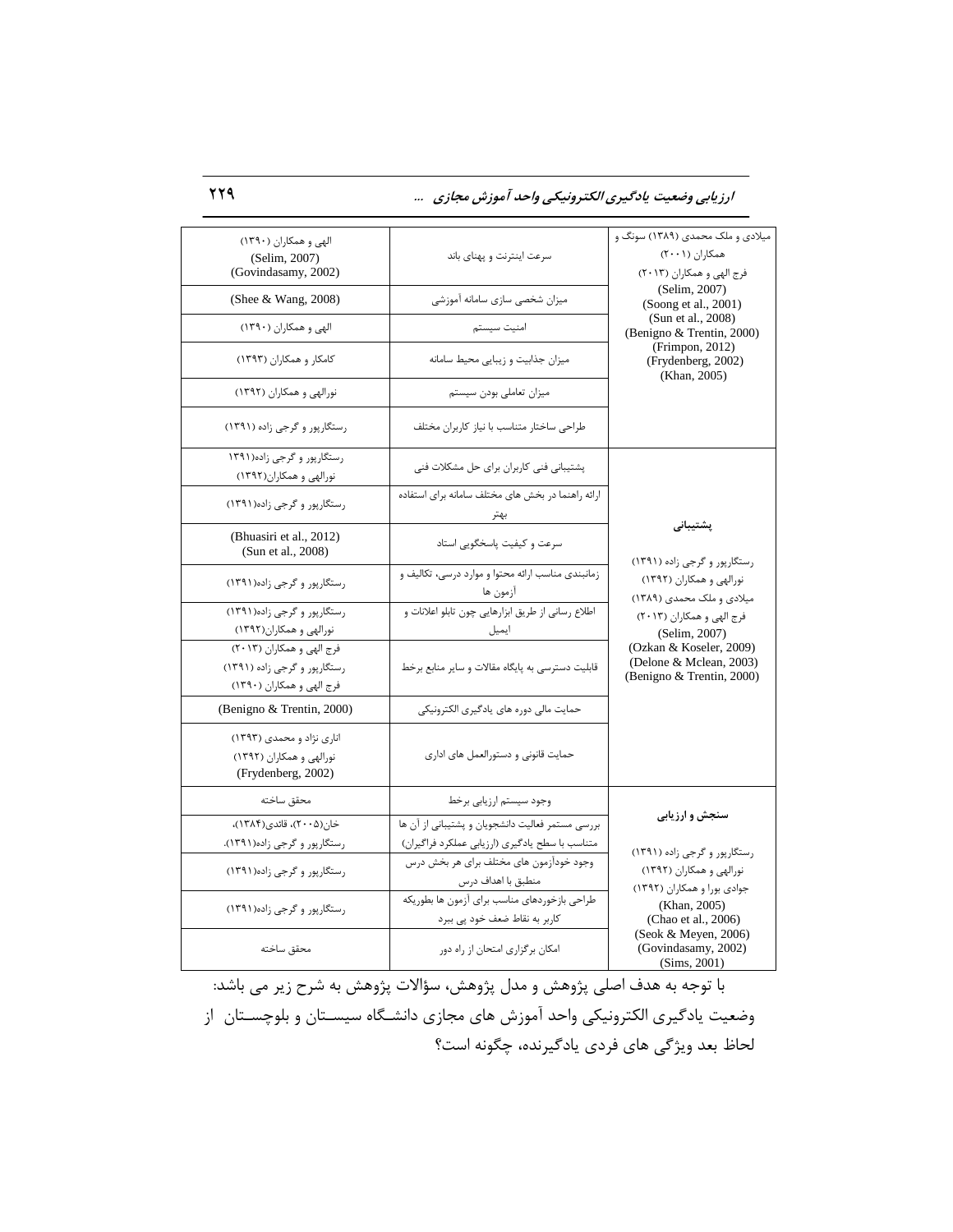**اضظیابی ٍضعیت یازگیطی الکتطًٍیکی ٍاحس آهَظش هجاظی ...** 229

| الهی و همکاران (۱۳۹۰)<br>(Selim, 2007)<br>(Govindasamy, 2002)                          | سرعت اینترنت و یهنای باند                                                                           | میلادی و ملک محمدی (۱۳۸۹) سونگ و<br>همکاران (۲۰۰۱)<br>فرج الهي و همكاران (٢٠١٣) |
|----------------------------------------------------------------------------------------|-----------------------------------------------------------------------------------------------------|---------------------------------------------------------------------------------|
| (Shee & Wang, 2008)                                                                    | میزان شخصی سازی سامانه آموزشی                                                                       | (Selim, 2007)<br>(Soong et al., 2001)                                           |
| الهی و همکاران (۱۳۹۰)                                                                  | امنيت سيستم                                                                                         | (Sun et al., 2008)<br>(Benigno & Trentin, 2000)                                 |
| کامکار و همکاران (۱۳۹۳)                                                                | میزان جذابیت و زیبایی محیط سامانه                                                                   | (Frimpon, 2012)<br>(Frydenberg, 2002)<br>(Khan, 2005)                           |
| نورالهی و همکاران (۱۳۹۲)                                                               | میزان تعاملی بودن سیستم                                                                             |                                                                                 |
| رستگاریور و گرجی زاده (۱۳۹۱)                                                           | طراحى ساختار متناسب با نياز كاربران مختلف                                                           |                                                                                 |
| رستگارپور و گرجی زاده(۱۳۹۱<br>نورالهی و همکاران(۱۳۹۲)                                  | پشتیبانی فنی کاربران برای حل مشکلات فنی                                                             |                                                                                 |
| رستگارپور و گرجی زاده(۱۳۹۱)                                                            | ارائه راهنما در بخش های مختلف سامانه برای استفاده<br>بهتر                                           |                                                                                 |
| (Bhuasiri et al., 2012)<br>(Sun et al., 2008)                                          | سرعت و کیفیت پاسخگویی استاد                                                                         | پشتيبانى<br>رستگاریور و گرجی زاده (۱۳۹۱)                                        |
| رستگاریور و گرجی زاده(۱۳۹۱)                                                            | .<br>زمانبندی مناسب ارائه محتوا و موارد درسی، تکالیف و<br>آزمون ها                                  | نورالهی و همکاران (۱۳۹۲)<br>میلادی و ملک محمدی (۱۳۸۹)                           |
| رستگارپور و گرجی زاده(۱۳۹۱)<br>نورالهی و همکاران(۱۳۹۲)                                 | اطلاع رسانی از طریق ابزارهایی چون تابلو اعلانات و<br>ايميل ______                                   | فرج الهي و همكاران (٢٠١٣)<br>(Selim, 2007)                                      |
| فرج الهي و همكاران (٢٠١٣)<br>رستگارپور و گرجی زاده (۱۳۹۱)<br>فرج الهي و همكاران (١٣٩٠) | قابلیت دسترسی به پایگاه مقالات و سایر منابع برخط                                                    | (Ozkan & Koseler, 2009)<br>(Delone & Mclean, 2003)<br>(Benigno & Trentin, 2000) |
| (Benigno & Trentin, 2000)                                                              | حمایت مالی دوره های یادگیری الکترونیکی                                                              |                                                                                 |
| اناری نژاد و محمدی (۱۳۹۳)<br>نورالهی و همکاران (۱۳۹۲)<br>(Frydenberg, 2002)            | حمایت قانونی و دستورالعمل های اداری                                                                 |                                                                                 |
| محقق ساخته                                                                             | وجود سیستم ارزیابی برخط                                                                             |                                                                                 |
| خان(۲۰۰۵)، قائدی(۱۳۸۴)،<br>رستگارپور و گرجی زاده(۱۳۹۱).                                | بررسی مستمر فعالیت دانشجویان و پشتیبانی از آن ها<br>متناسب با سطح يادگيري (ارزيابي عملكرد فراگيران) | سنجش و ارزیابی<br>رستگارپور و گرجی زاده (۱۳۹۱)                                  |
| رستگارپور و گرجی زاده(١٣٩١)                                                            | وجود خودآزمون های مختلف برای هر بخش درس<br>منطبق با اهداف درس                                       | نورالهی و همکاران (١٣٩٢)                                                        |
| رستگارپور و گرجی زاده(١٣٩١)                                                            | طراحي بازخوردهاي مناسب براي آزمون ها بطوريكه<br>کاربر به نقاط ضعف خود پی ببرد                       | جوادي بورا و همكاران (١٣٩٢)<br>(Khan, 2005)<br>(Chao et al., 2006)              |
| محقق ساخته                                                                             | امکان برگزاری امتحان از راه دور                                                                     | (Seok & Meyen, 2006)<br>(Govindasamy, 2002)<br>(Sims, 2001)                     |

با توجه به هدف اصلی پژوهش و مدل پژوهش، سؤالات پژوهش به شرح زیر می باشد: وضعیت یادگیری الکترونیکی واحد آموزش های مجازی دانشگاه سیسـتان و بلوچسـتان از لحاظ بعد ویژگی های فردی یادگیرنده، چگونه است؟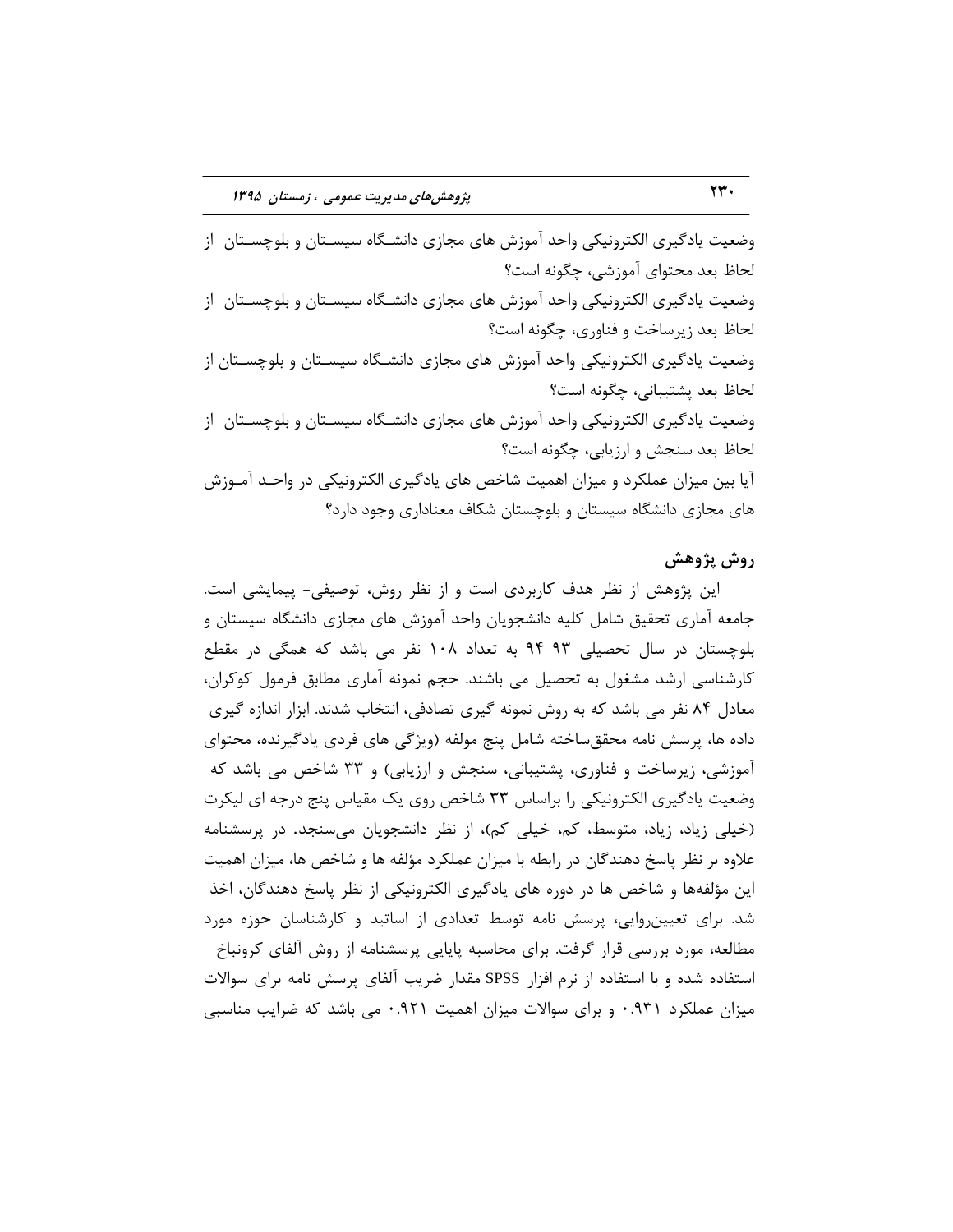وضعیت یادگیری الکترونیکی واحد آموزش های مجازی دانشـگاه سیسـتان و بلوچسـتان ِ از لحاظ بعد محتوای آموزشی، چگونه است؟ وضعیت یادگیری الکترونیکی واحد آموزش های مجازی دانشگاه سیسـتان و بلوچسـتان از لحاظ بعد زیرساخت و فناوری، چگونه است؟ وضعیت یادگیری الکترونیکی واحد آموزش های مجازی دانشـگاه سیسـتان و بلوچسـتان از لحاظ بعد پشتیبانی، چگونه است؟ وضعیت یادگیری الکترونیکی واحد آموزش های مجازی دانشـگاه سیسـتان و بلوچسـتان از لحاظ بعد سنجش و ارزیابی، چگونه است؟ آیا بین میزان عملکرد و میزان اهمیت شاخص های یادگیری الکترونیکی در واحـد آمـوزش های مجازی دانشگاه سیستان و بلوچستان شکاف معناداری وجود دارد؟

#### **ضٍش پژٍّص**

این پژوهش از نظر هدف کاربردی است و از نظر روش، توصیفی- پیمایشی است. جامعه آماری تحقیق شامل کلیه دانشجویان واحد آموزش های مجازی دانشگاه سیستان و بلوچستان در سال تحصیلی ۹۳-۹۴ به تعداد ۱۰۸ نفر می باشد که همگی در مقطع کارشناسی ارشد مشغول به تحصیل می باشند. حجم نمونه آماری مطابق فرمول کوکران، معادل ۸۴ نفر می باشد که به روش نمونه گیری تصادفی، انتخاب شدند. ابزار اندازه گیری داده ها، پرسش نامه محققساخته شامل پنج مولفه (ویژگی های فردی یادگیرنده، محتوای آموزشی، زیرساخت و فناوری، پشتیبانی، سنجش و ارزیابی) و ۳۳ شاخص می باشد که وضعیت یادگیری الکترونیکی را براساس ٣٣ شاخص روی یک مقیاس پنج درجه ای لیکرت (خیلی زیاد، زیاد، متوسط، کم، خیلی کم)، از نظر دانشجویان می سنجد. در پرسشنامه علاوه بر نظر پاسخ دهندگان در رابطه با میزان عملکرد مؤلفه ها و شاخص ها، میزان اهمیت این مؤلفهها و شاخص ها در دوره های یادگیری الکترونیکی از نظر پاسخ دهندگان، اخذ شد. برای تعیین روایی، پرسش نامه توسط تعدادی از اساتید و کارشناسان حوزه مورد مطالعه، مورد بررسی قرار گرفت. برای محاسبه پایایی پرسشنامه از روش آلفای کرونباخ استفاده شده و با استفاده از نرم افزار SPSS مقدار ضریب آلفای پرسش نامه برای سوالات میزان عملکرد ۰.۹۳۱ و برای سوالات میزان اهمیت ۰.۹۲۱ می باشد که ضرایب مناسبی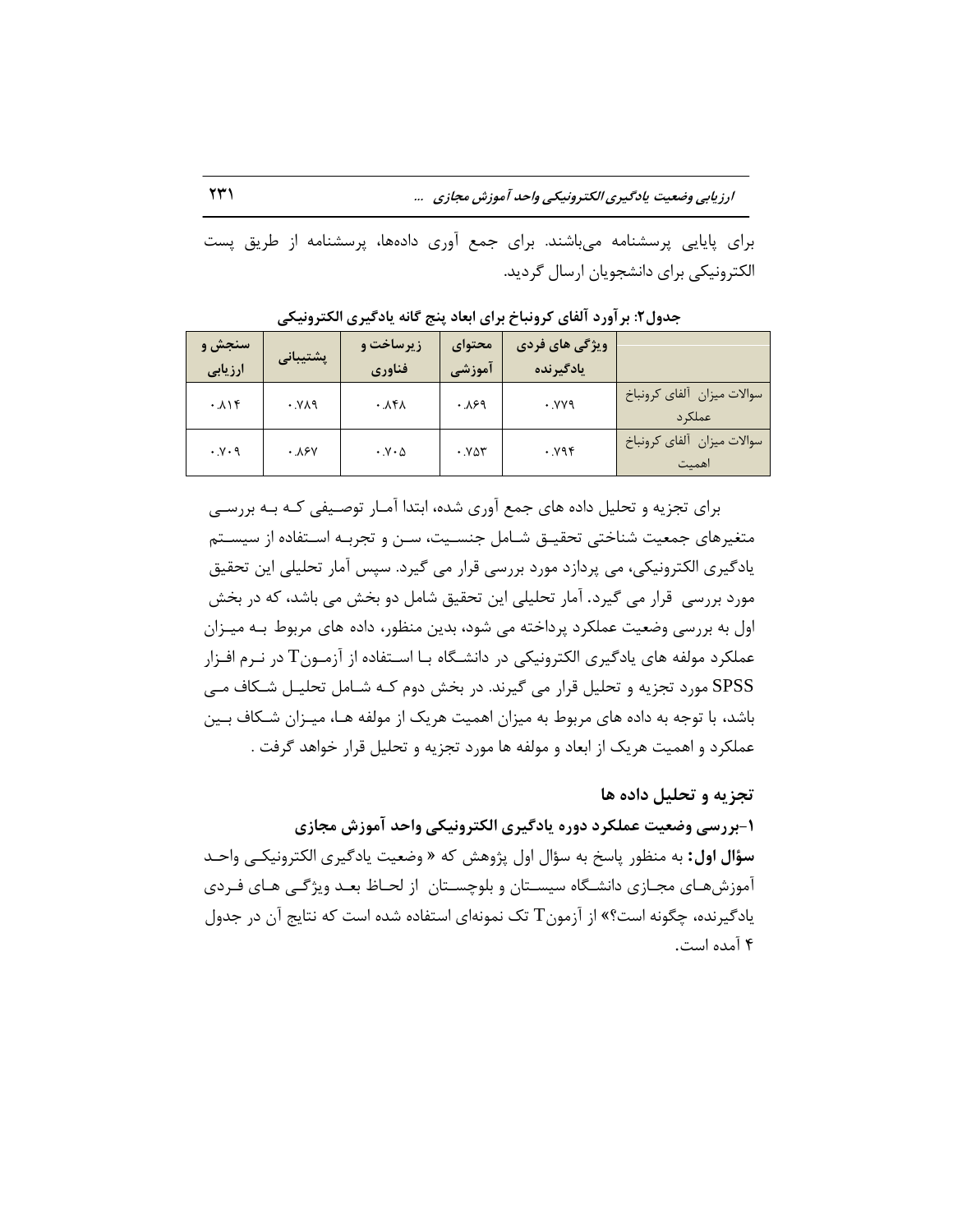**اضظیابی ٍضعیت یازگیطی الکتطًٍیکی ٍاحس آهَظش هجاظی ...** 231

برای پایایی پرسشنامه میباشند. برای جمع آوری دادهها، پرسشنامه از طریق پست الکترونیکی برای دانشجویان ارسال گردید.

| سنجش و<br>ارزيابى       | پشتیبانی | <b>زیرساخت و</b><br>فناوري           | محتواي<br>آموزشی | ویژگی های فردی<br>يادگيرنده |                                      |
|-------------------------|----------|--------------------------------------|------------------|-----------------------------|--------------------------------------|
| $. \lambda \rightarrow$ | PAY.     | .151                                 | .199             | YY                          | سوالات ميزان آلفاي كرونباخ<br>عملک د |
| $\cdot y \cdot q$       | ۰.۸۶۷    | $\cdot$ . $\vee$ $\cdot$ $\triangle$ | .987             | .194                        | سوالات ميزان آلفاي كرونباخ<br>اهميت  |

جدول۲: برآورد آلفای کرونباخ برای ابعاد پنج گانه یادگیری الکترونیکی

برای تجزیه و تحلیل داده های جمع آوری شده، ابتدا آمـار توصـیفی کـه بـه بررسـی متغیرهای جمعیت شناختی تحقیـق شـامل جنسـیت، سـن و تجربـه اسـتفاده از سیسـتم یادگیری الکترونیکی، می پردازد مورد بررسی قرار می گیرد. سپس آمار تحلیلی این تحقیق مورد بررسی قرار می گیرد. آمار تحلیلی این تحقیق شامل دو بخش می باشد، که در بخش اول به بررسی وضعیت عملکرد پرداخته می شود، بدین منظور، داده های مربوط بـه میـزان عملکرد مولفه های یادگیری الکترونیکی در دانشـگاه بـا اسـتفاده از آزمـون $\rm T$  در نـرم افـزار SPSS مورد تجزیه و تحلیل قرار می گیرند. در بخش دوم کـه شـامل تحلیـل شـکاف مـی باشد، با توجه به داده های مربوط به میزان اهمیت هریک از مولفه هـا، میـزان شـکاف بـین عملکرد و اهمیت هریک از ابعاد و مولفه ها مورد تجزیه و تحلیل قرار خواهد گرفت .

تجزیه و تحلیل داده ها **-1بطضسی ٍضعیت عولکطز زٍضُ یازگیطی الکتطًٍیکی ٍاحس آهَظش هجاظی سؤال اول:** به منظور پاسخ به سؤال اول پژوهش که « وضعیت پادگیری الکترونیکـی واحـد آموزشهـای مجـازی دانشـگاه سیسـتان و بلوچسـتان از لحـاظ بعـد ویژگـی هـای فـردی یادگیرنده، چگونه است؟» از آزمون $\rm{T}$  تک نمونهای استفاده شده است که نتایج آن در جدول ۴ آمده است.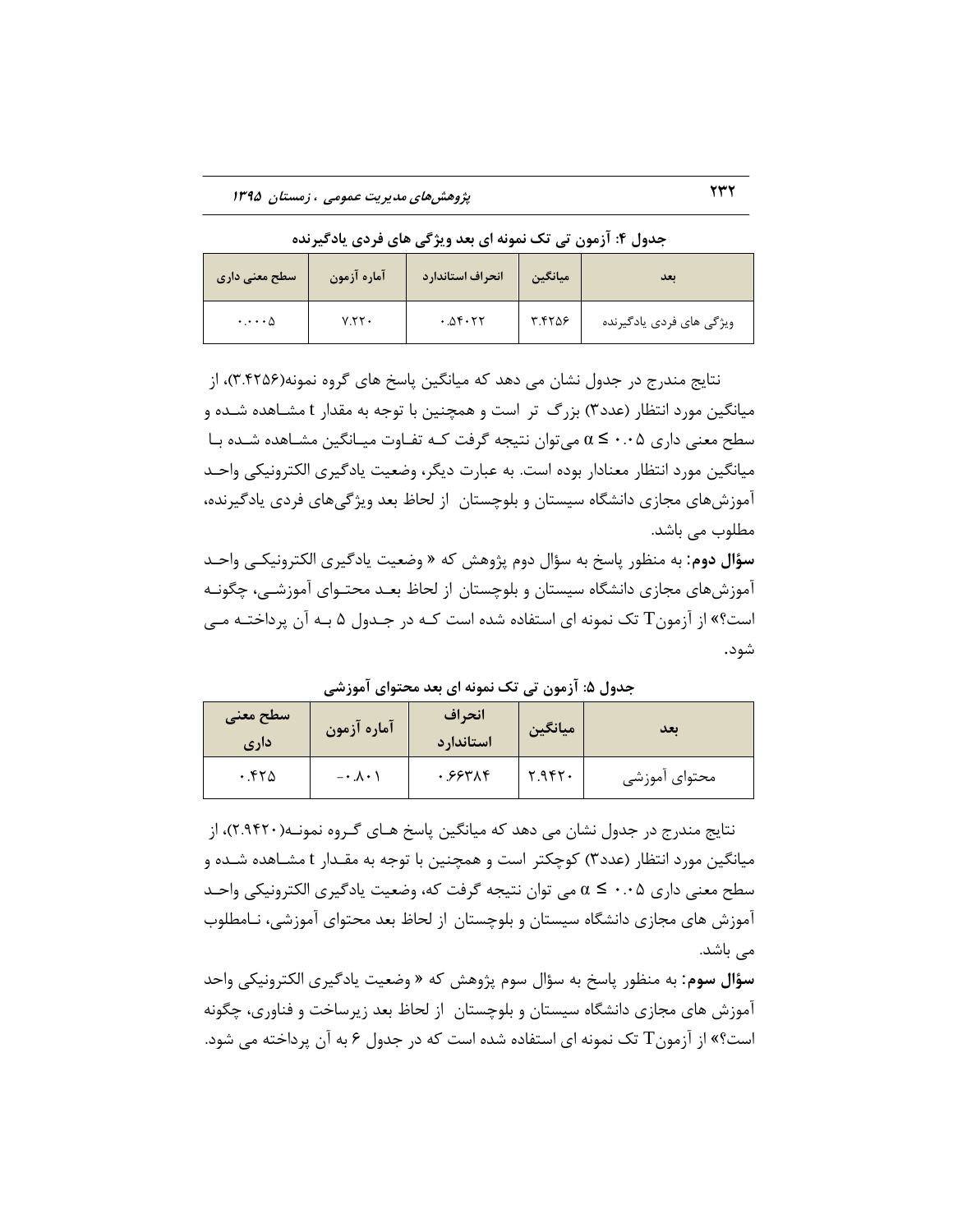| اسطح معنی داری             | آماره آزمون | انحراف استاندارد | ميانگين | ىعد                      |
|----------------------------|-------------|------------------|---------|--------------------------|
| $\cdot \cdot \cdot \wedge$ | Y.55        | .05.77           | ٣.۴٢٥۶  | ویژگی های فردی یادگیرنده |

جدول ۴: آزمون تی تک نمونه ای بعد ویژگی های فردی یادگیرنده

نتایج مندرج در جدول نشان می دهد که میانگین پاسخ های گروه نمونه(۳.۴۲۵۶)، از میانگین مورد انتظار (عدد۳) بزرگ تر است و همچنین با توجه به مقدار t مشـاهده شـده و سطح معنی داری  $\alpha \leq \cdots \geq \alpha$  می توان نتیجه گرفت کـه تفـاوت میـانگین مشـاهده شـده بـا میانگین مورد انتظار معنادار بوده است. به عبارت دیگر، وضعیت یادگیری الکترونیکی واحـد آموزشهای مجازی دانشگاه سیستان و بلوچستان ِ از لحاظ بعد ویژگیهای فردی یادگیرنده، مطلوب می باشد.

**سؤال دوم**: به منظور پاسخ به سؤال دوم پژوهش که « وضعیت یادگیری الکترونیکـی واحـد آموزشهای مجازی دانشگاه سیستان و بلوچستان از لحاظ بعـد محتـوای آموزشــی، چگونــه است؟» از آزمون T تک نمونه ای استفاده شده است کـه در جـدول ۵ بـه آن پرداختـه مـی شود.

| سطح معنى<br>داری | آماره آزمون            | انحراف<br>استاندار د | ميانگين | ىعد           |
|------------------|------------------------|----------------------|---------|---------------|
| .570             | $-\cdot \lambda \cdot$ | ۰.۶۶۳۸۴              | Y.9fY   | محتواي أموزشي |

جدول ۵: آزمون تی تک نمونه ای بعد محتوای آموزشی

نتایج مندرج در جدول نشان می دهد که میانگین پاسخ هـای گـروه نمونـه(۲.۹۴۲۰)، از میانگین مورد انتظار (عدد۳) کوچکتر است و همچنین با توجه به مقـدار t مشـاهده شـده و سطح معنی داری 0.05 ≥ α می توان نتیجه گرفت که، وضعیت یادگیری الکترونیکی واحـد آموزش های مجازی دانشگاه سیستان و بلوچستان از لحاظ بعد محتوای آموزشی، نــامطلوب مے باشد.

**سؤال سوم:** به منظور پاسخ به سؤال سوم پژوهش که « وضعیت یادگیری الکترونیکی واحد آموزش های مجازی دانشگاه سیستان و بلوچستان ِ از لحاظ بعد زیرساخت و فناوری، چگونه است؟» از آزمون T تک نمونه ای استفاده شده است که در جدول ۶ به آن پرداخته می شود.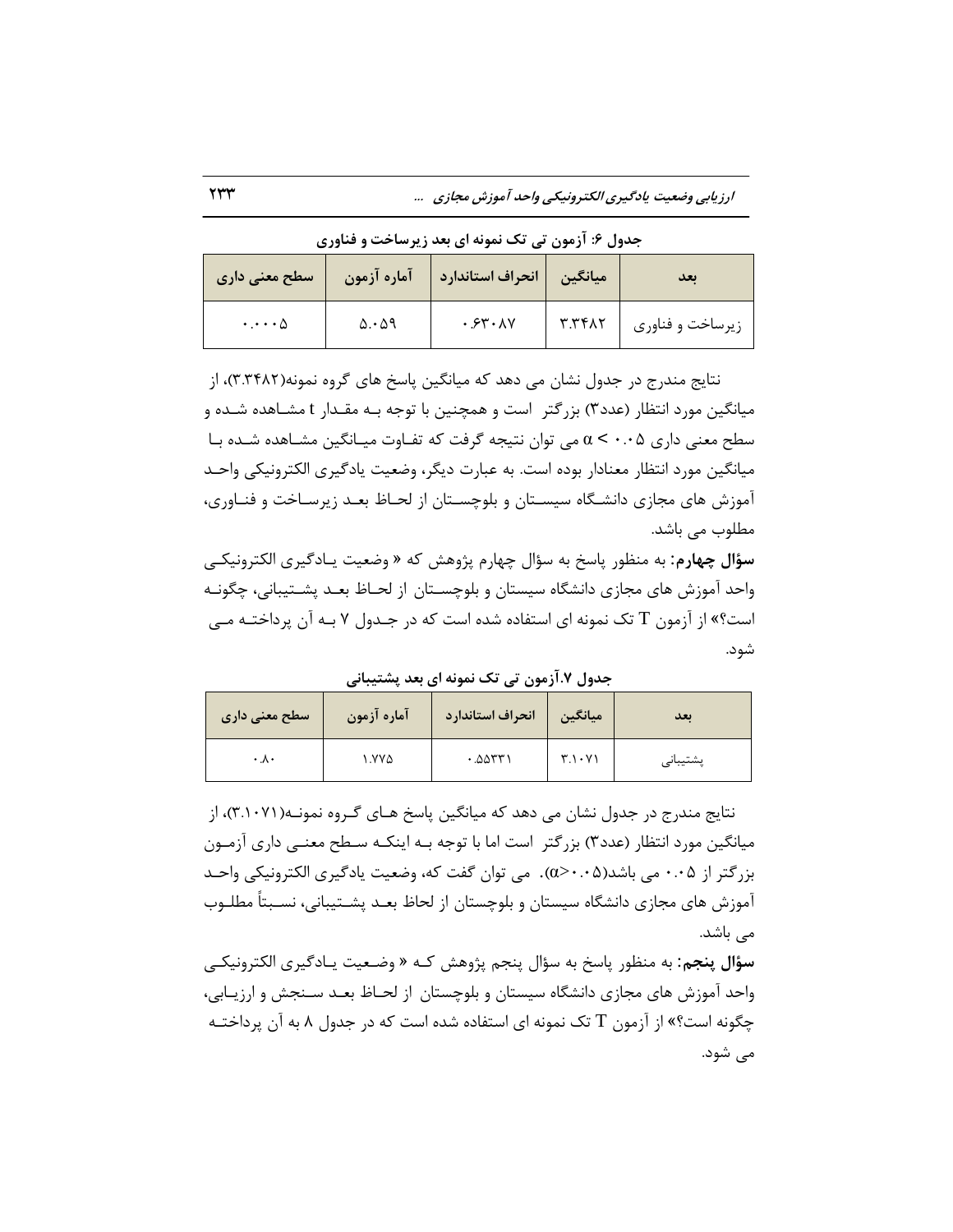| سطح معنی داری   | آماره آزمون             | انحراف استاندارد | ميانگين        | ىعد              |
|-----------------|-------------------------|------------------|----------------|------------------|
| $\cdots \wedge$ | $\Delta \cdot \Delta$ 9 | .54.1V           | $T.Tf\wedge T$ | زيرساخت و فناوري |

جدول ۶: آزمون تی تک نمونه ای بعد زیرساخت و فناوری

نتایج مندرج در جدول نشان می دهد که میانگین پاسخ های گروه نمونه(۳.۴۸۲)، از میانگین مورد انتظار (عدد۳) بزرگتر است و همچنین با توجه بـه مقـدار t مشـاهده شـده و سطح معنی داری  $\alpha < \cdot \cdot$  می توان نتیجه گرفت که تفـاوت میـانگین مشـاهده شـده بـا میانگین مورد انتظار معنادار بوده است. به عبارت دیگر، وضعیت یادگیری الکترونیکی واحـد آموزش های مجازی دانشگاه سیسـتان و بلوچسـتان از لحـاظ بعـد زیرسـاخت و فنـاوری، مطلوب می باشد.

**سؤال چهارم**: به منظور پاسخ به سؤال چهارم پژوهش که « وضعیت یـادگیری الکترونیکـی واحد آموزش های مجازی دانشگاه سیستان و بلوچسـتان از لحـاظ بعـد پشـتیبانی، چگونـه است؟» از آزمون T تک نمونه ای استفاده شده است که در جـدول ۷ بـه آن پرداختـه مـی شود.

جدول ٧.آزمون تی تک نمونه ای بعد پشتیبانی

| سطح معنی داری         | آماره آزمون | انحراف استاندارد | ميانگين         | ىعد                                     |
|-----------------------|-------------|------------------|-----------------|-----------------------------------------|
| $\cdot \Lambda \cdot$ | ۱.۷۷۵       | .0051            | $T_1 \cdot Y_1$ | $\rightarrow$ $\rightarrow$<br>پشىيباىي |

نتایج مندرج در جدول نشان می دهد که میانگین پاسخ هـای گـروه نمونـه(۳.۱۰۷۱)، از میانگین مورد انتظار (عدد۳) بزرگتر است اما با توجه بـه اینکـه سـطح معنـی داری آزمـون بزر گتر از ۰.۰۵ می باشد(۰۰۵–:۵٪). می توان گفت که، وضعیت یادگیری الکترونیکی واحـد آموزش های مجازی دانشگاه سیستان و بلوچستان از لحاظ بعـد پشـتیبانی، نسـبتاً مطلـوب مے باشد.

**سؤال پنجم**: به منظور پاسخ به سؤال پنجم پژوهش کـه « وضـعیت یـادگیری الکترونیکـی واحد آموزش های مجازی دانشگاه سیستان و بلوچستان از لحـاظ بعـد سـنجش و ارزیـابی، چگونه است؟» از آزمون T تک نمونه ای استفاده شده است که در جدول ۸ به آن پرداختـه مے شود.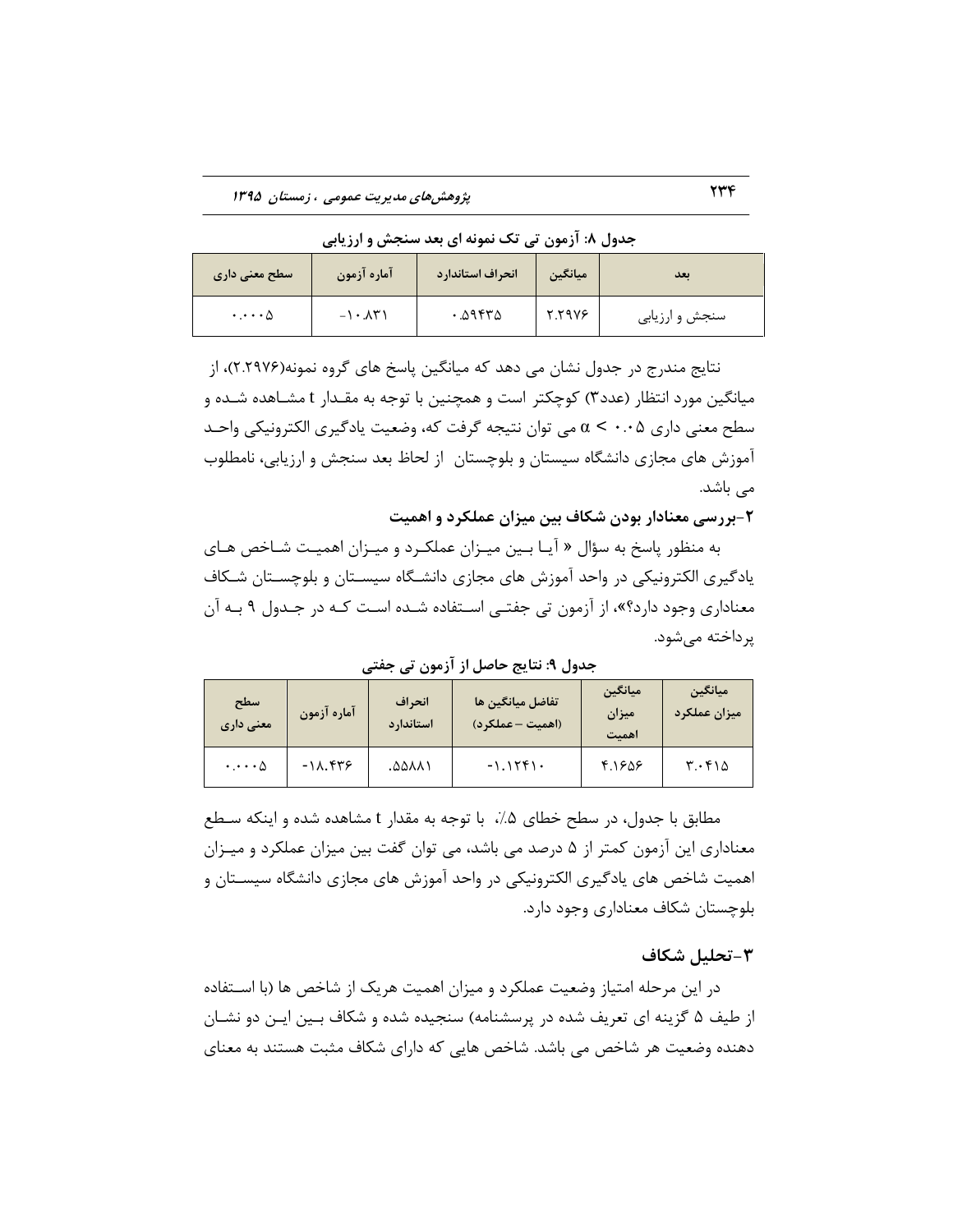| جدول ۸: ازمون تی تک نمونه ای بعد سنجش و ارزیابی |  |  |  |
|-------------------------------------------------|--|--|--|
|-------------------------------------------------|--|--|--|

| سطح معنی داری                    | آماره آزمون                 | انحراف استاندارد | ميانگين | ىعد            |
|----------------------------------|-----------------------------|------------------|---------|----------------|
| $\cdot \cdot \cdot \cdot \Delta$ | $-1 \cdot \lambda \Upsilon$ | .09570           | 5.5978  | سنجش و ارزیابی |

نتایج مندرج در جدول نشان می دهد که میانگین پاسخ های گروه نمونه(۲.۲۹۷۶)، از میانگین مورد انتظار (عدد۳) کوچکتر است و همچنین با توجه به مقـدار t مشـاهده شـده و سطح معنی داری ۰۰۵ × سی توان نتیجه گرفت که، وضعیت یادگیری الکترونیکی واحـد آموزش های مجازی دانشگاه سیستان و بلوچستان از لحاظ بعد سنجش و ارزیابی، نامطلوب مے باشد.

**-2بطضسی هعٌازاض بَزى ضکاف بیي هیعاى عولکطز ٍ اّویت**

به منظور پاسخ به سؤال « آیـا بـین میـزان عملکـرد و میـزان اهمیـت شـاخص هـای یادگیری الکترونیکی در واحد آموزش های مجازی دانشـگاه سیسـتان و بلوچسـتان شـکاف معناداری وجود دارد؟»، از آزمون تی جفتـی اسـتفاده شـده اسـت کـه در جـدول ۹ بـه آن پرداخته می شود.

**سطح هعٌی زاضی** آماره آزمون **اًحطاف استاندار د تفاضل هیاًایي ّا )اّویت – عولکطز( هیاًایي** هیزان **اّویت** هی**انگین** هیزان عملکرد  $\cdot \ldots \circ$  -18.448 .3588 .3588 .5588 .5588 .5588 .5589 .5589 .5588 .5589 .5589 .5589 .5589 .5589 .5589 .5589 .5589 .5589 .5589 .5589 .5589 .5589 .5589 .5589 .5589 .5589 .5589 .5589 .5589 .5589 .5589 .5589 .5589 .5589 .5589

**جسٍل :9 ًتایج حاصل اظ آظهَى تی جفتی**

مطابق با جدول، در سطح خطاى ۵٪، با توجه به مقدار t مشاهده شده و اینكه سـطع معناداری این آزمون کمتر از ۵ درصد می باشد، می توان گفت بین میزان عملکرد و میـزان اهمیت شاخص های یادگیری الکترونیکی در واحد آموزش های مجازی دانشگاه سیسـتان و بلوچستان شکاف معناداری وجود دارد.

### **-3تحلیل ضکاف**

در این مرحله امتیاز وضعیت عملکرد و میزان اهمیت هریک از شاخص ها (با اسـتفاده از طیف ۵ گزینه ای تعریف شده در پرسشنامه) سنجیده شده و شکاف بـین ایـن دو نشـان دهنده وضعیت هر شاخص می باشد. شاخص هایی که دارای شکاف مثبت هستند به معنای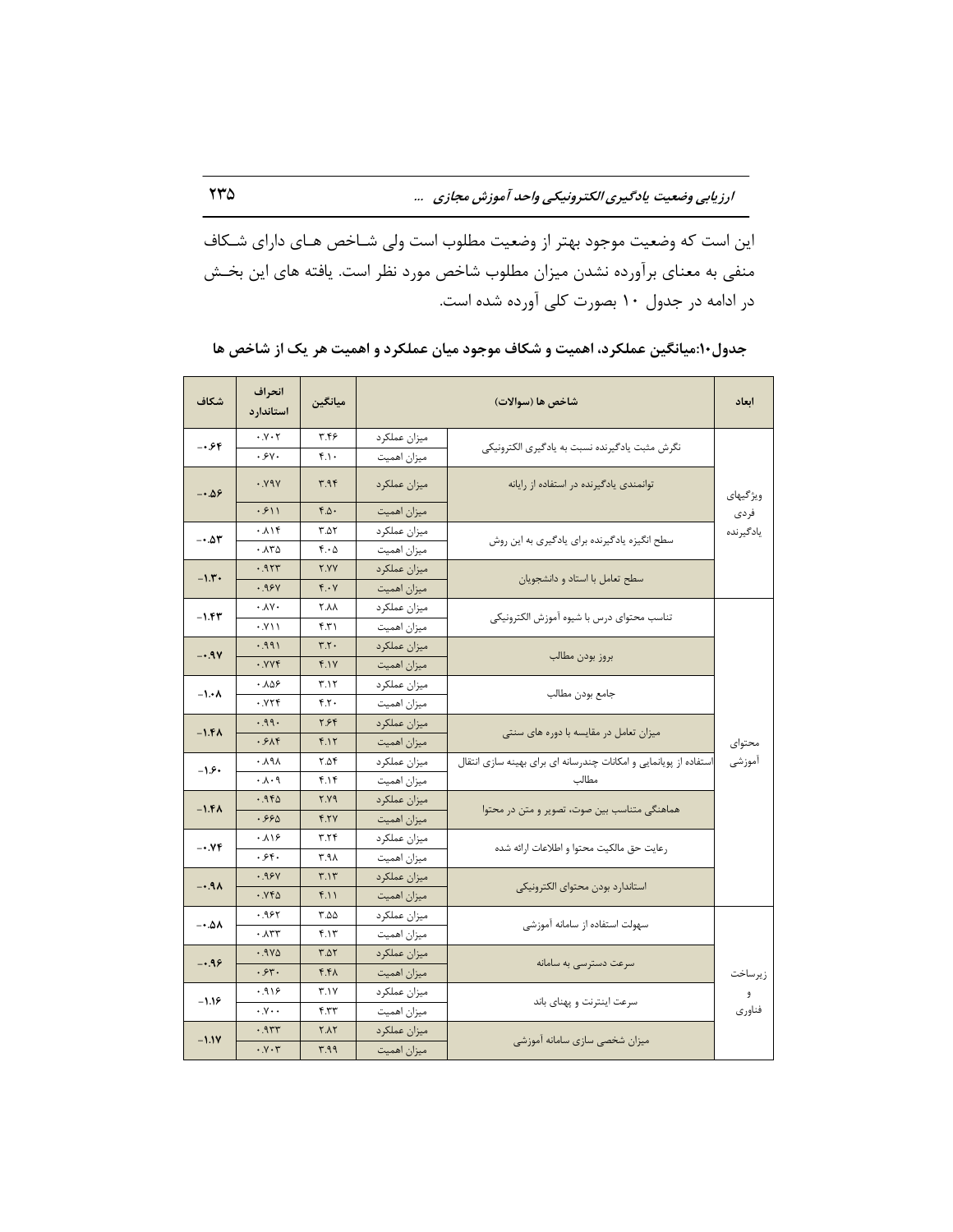این است که وضعیت موجود بهتر از وضعیت مطلوب است ولی شـاخص هـای دارای شـكاف منفی به معنای برآورده نشدن میزان مطلوب شاخص مورد نظر است. یافته های این بخـش در ادامه در جدول ۱۰ بصورت کلی آورده شده است.

| شكاف    | انحراف<br>استاندار د        | ميانگين          |              | شاخص ها (سوالات)                                                  | ابعاد     |
|---------|-----------------------------|------------------|--------------|-------------------------------------------------------------------|-----------|
| 7۶.۰-   | $\cdot$ . $\vee$ . $\vee$   | ۳.۴۶             | ميزان عملكرد | نگرش مثبت يادگيرنده نسبت به يادگيري الكترونيكي                    |           |
|         | ۰۶۷۰                        | f.1              | ميزان اهميت  |                                                                   |           |
| -0.56   | Y                           | 4.94             | ميزان عملكرد | توانمندی یادگیرنده در استفاده از رایانه                           | ویژ گیهای |
|         | .511                        | $F.\Delta$       | ميزان اهميت  |                                                                   | فردى      |
| $-4.54$ | ۰۸۱۴                        | ۳.۵۲             | ميزان عملكرد | سطح انگیزه یادگیرنده برای یادگیری به این روش                      | يادگيرنده |
|         | ۰.۸۳۵                       | $f \cdot \Delta$ | ميزان اهميت  |                                                                   |           |
| $-1.5$  | ۹۲۳.                        | <b>Y.YY</b>      | ميزان عملكرد | سطح تعامل با استاد و دانشجویان                                    |           |
|         | .98Y                        | $f \cdot V$      | ميزان اهميت  |                                                                   |           |
| -1.43   | $\cdot$ $\lambda$ Y $\cdot$ | ۲.۸۸             | ميزان عملكرد | تناسب محتواي درس با شيوه آموزش الكترونيكي                         |           |
|         | $. Y \cup$                  | 5.71             | ميزان اهميت  |                                                                   |           |
| $-.9V$  | .991                        | Y.Y              | ميزان عملكرد |                                                                   |           |
|         | .999                        | F.1V             | ميزان اهميت  | بروز بودن مطالب                                                   |           |
| $-1.4A$ | ۰.۸۵۶                       | ۳.۱۲             | ميزان عملكرد | جامع بودن مطالب                                                   |           |
|         | .779                        | FT.              | ميزان اهميت  |                                                                   |           |
| -1.48   | ۹۹۰.                        | ۲.۶۴             | ميزان عملكرد | میزان تعامل در مقایسه با دوره های سنتی                            |           |
|         | .555                        | F.1Y             | ميزان اهميت  |                                                                   | محتواي    |
| $-1.5$  | ۸۹۸ ۰                       | ۲.۵۴             | ميزان عملكرد | استفاده از پویانمایی و امکانات چندرسانه ای برای بهینه سازی انتقال | أموزشى    |
|         | ۰۸۰۹                        | ۴.۱۴             | ميزان اهميت  | مطالب                                                             |           |
| $-1.5A$ | ۱.۹۴۵                       | <b>7.79</b>      | ميزان عملكرد | هماهنگی متناسب بین صوت، تصویر و متن در محتوا                      |           |
|         | .990                        | f.YV             | ميزان اهميت  |                                                                   |           |
| -0.74   | ۱۶، ۰                       | ۳.۲۴             | ميزان عملكرد | رعايت حق مالكيت محتوا و اطلاعات ارائه شده                         |           |
|         | ۰۶۴۰                        | ۳.۹۸             | ميزان اهميت  |                                                                   |           |
| $-.9A$  | .98Y                        | T.1T             | ميزان عملكرد | استاندارد بودن محتواي الكترونيكي                                  |           |
|         | ۲۴۵. ۰                      | 4.11             | ميزان اهميت  |                                                                   |           |
| ۸۵.∙–   | ۶٬۹۶۲                       | ۵۵.۲             | ميزان عملكرد | سهولت استفاده از سامانه آموزشی                                    |           |
|         | ۰.۸۳۳                       | ۴.۱۳             | ميزان اهميت  |                                                                   |           |
| $-.99$  | $.9V\Delta$                 | T.AY             | ميزان عملكرد |                                                                   |           |
|         | .54.                        | ۴.۴۸             | ميزان اهميت  | سرعت دسترسی به سامانه                                             | زيرساخت   |
| $-1.19$ | ۱۶٬۹۱۶                      | ۳.۱۷             | ميزان عملكرد |                                                                   | و         |
|         | $\cdot y \cdot \cdot$       | 5.57             | ميزان اهميت  | سرعت اينترنت و پهناي باند                                         | فناورى    |
| $-1.1Y$ | .955                        | YAY              | ميزان عملكرد |                                                                   |           |
|         | $\cdot$ . $Y \cdot Y$       | ۳۹۹              | ميزان اهميت  | میزان شخصی سازی سامانه آموزشی                                     |           |

جدول·۱:میانگین عملکرد، اهمیت و شکاف موجود میان عملکرد و اهمیت هر یک از شاخص ها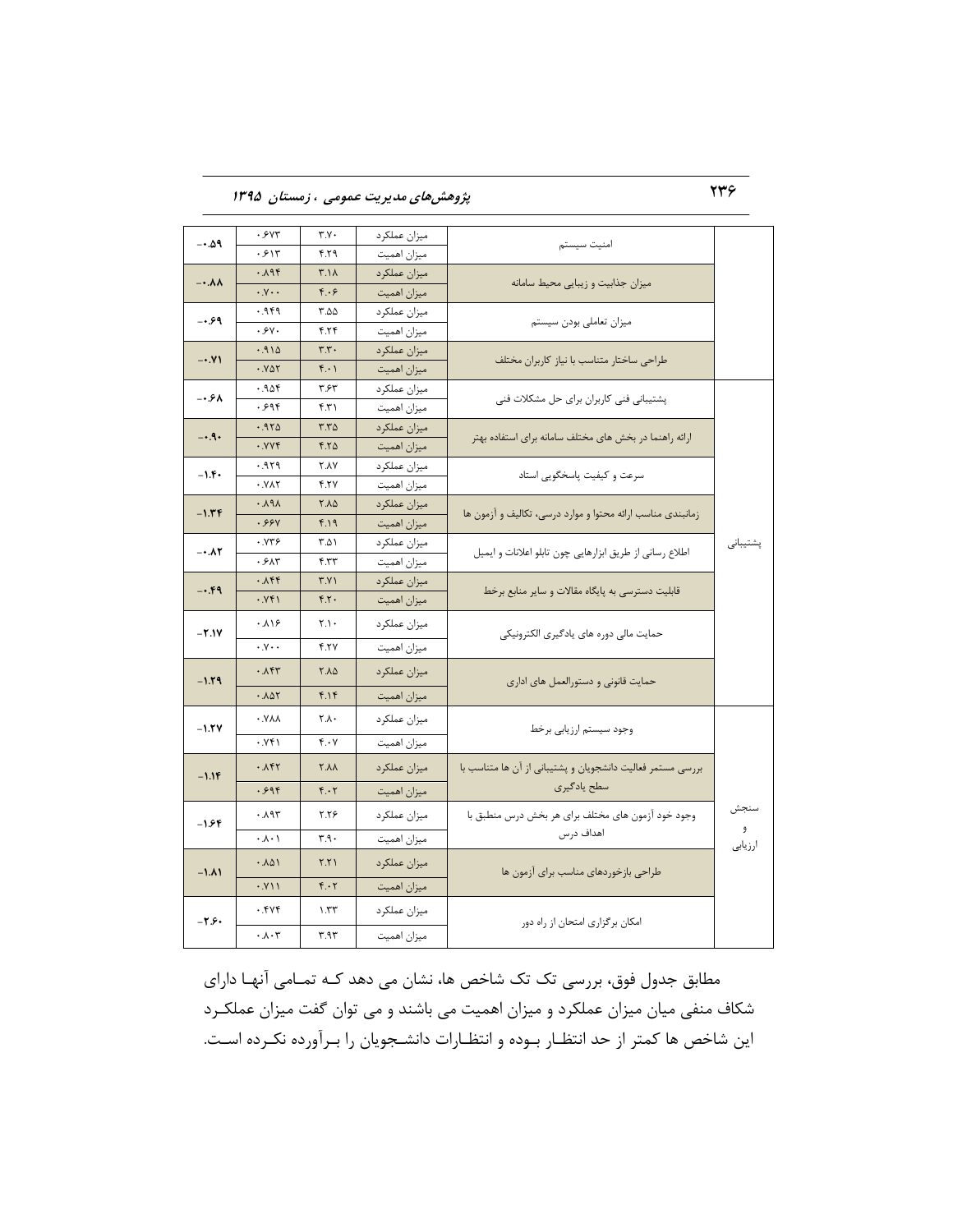236 **پژٍّصّای هسیطیت عوَهی ، ظهستاى 1395**

| −0.∆۹   | .5YY                        | ٣.٧٠                      | ميزان عملكرد | امنيت سيستم                                                |              |
|---------|-----------------------------|---------------------------|--------------|------------------------------------------------------------|--------------|
|         | ۰۶۱۳                        | P.Y.                      | ميزان اهميت  |                                                            |              |
| $-.AA$  | ۰.۸۹۴                       | ۳.۱۸                      | ميزان عملكرد | میزان جذابیت و زیبایی محیط سامانه                          |              |
|         | $\cdot y \cdot \cdot$       | F.69                      | ميزان اهميت  |                                                            |              |
| $-0.99$ | 999.                        | ۵۵.۲                      | ميزان عملكرد | میزان تعاملی بودن سیستم                                    |              |
|         | .9V.                        | 4.74                      | ميزان اهميت  |                                                            |              |
| $-0.1$  | .910                        | $\mathbf{r}.\mathbf{r}$ . | ميزان عملكرد | طراحی ساختار متناسب با نیاز کاربران مختلف                  |              |
|         | .801                        | ۲۰۱                       | ميزان اهميت  |                                                            |              |
| ۰.۶۸ -  | ۹۵۴.۰                       | ۳.۶۳                      | ميزان عملكرد | یشتیبانی فنی کاربران برای حل مشکلات فنی                    |              |
|         | ۶۹۴.                        | ۴.۳۱                      | ميزان اهميت  |                                                            |              |
| $-.9.$  | .970                        | ۳.۳۵                      | ميزان عملكرد | ارائه راهنما در بخش های مختلف سامانه برای استفاده بهتر     |              |
|         | . YYf                       | $F.Y\Delta$               | ميزان اهميت  |                                                            |              |
| $-1.5$  | ۶٬۹۲۹                       | <b>Y.AY</b>               | ميزان عملكرد | سرعت و کیفیت پاسخگویی استاد                                |              |
|         | .111                        | <b>F.TY</b>               | میزان اهمیت  |                                                            |              |
| $-1.5F$ | $\cdot \lambda$ ۹ $\lambda$ | ٢.٨۵                      | ميزان عملكرد | زمانبندی مناسب ارائه محتوا و موارد درسی، تکالیف و آزمون ها |              |
|         | .99Y                        | 4.19                      | ميزان اهميت  |                                                            |              |
|         | ۰.۷۳۶<br>$-.AY$<br>۰۶۸۳     | ۲.۵۱                      | ميزان عملكرد | اطلاع رسانی از طریق ابزارهایی چون تابلو اعلانات و ایمیل    | پشتیبانی     |
|         |                             | ۴.۳۳                      | ميزان اهميت  |                                                            |              |
| $-.49$  | ۰.۸۴۴                       | ۳.۷۱                      | ميزان عملكرد | قابلیت دسترسی به پایگاه مقالات و سایر منابع برخط           |              |
|         | .941                        | F.7.                      | ميزان اهميت  |                                                            |              |
| $-1.1V$ | ۱۶۰.۸                       | ۲.۱۰                      | ميزان عملكرد | حمایت مالی دوره های یادگیری الکترونیکی                     |              |
|         | $\cdot y \cdot \cdot$       | 4.77                      | ميزان اهميت  |                                                            |              |
| $-1.79$ | .157                        | ٢.٨۵                      | میزان عملکرد | حمایت قانونی و دستورالعمل های اداری                        |              |
|         | .101                        | F.1F                      | ميزان اهميت  |                                                            |              |
| $-1.7V$ | ۸۸۷.۰                       | ۲.۸۰                      | ميزان عملكرد | وجود سيستم ارزيابي برخط                                    |              |
|         | .951                        | ۴.۰۷                      | میزان اهمیت  |                                                            |              |
| $-1.1F$ | .151                        | <b>X.A</b>                | ميزان عملكرد | بررسی مستمر فعالیت دانشجویان و پشتیبانی از آن ها متناسب با |              |
|         | .598                        | ۴۰۲                       | ميزان اهميت  | سطح يادگيري                                                |              |
| $-1.54$ | ۰.۸۹۳                       | ۲.۲۶                      | ميزان عملكرد | وجود خود آزمون های مختلف برای هر بخش درس منطبق با          | سنجش         |
|         | $\cdot \wedge \cdot$ \      | ۳.۹۰                      | ميزان اهميت  | اهداف درس                                                  | و<br>ارزيابى |
| $-1.11$ | .101                        | Y.Y                       | ميزان عملكرد | طراحی بازخوردهای مناسب برای آزمون ها                       |              |
|         | .111                        | $F \cdot Y$               | ميزان اهميت  |                                                            |              |
| $-Y.S.$ | ۰.۴۷۴                       | ۱.۳۳                      | ميزان عملكرد |                                                            |              |
|         | $\cdot \lambda \cdot r$     | ۳.۹۳                      | ميزان اهميت  | امکان برگزاری امتحان از راه دور                            |              |

مطابق جدول فوق، بررسی تک تک شاخص ها، نشان می دهد کـه تمـامی آنهـا دارای شکاف منفی میان میزان عملکرد و میزان اهمیت می باشند و می توان گفت میزان عملکرد این شاخص ها کمتر از حد انتظار بوده و انتظارات دانشجویان را بـرآورده نکـرده اسـت.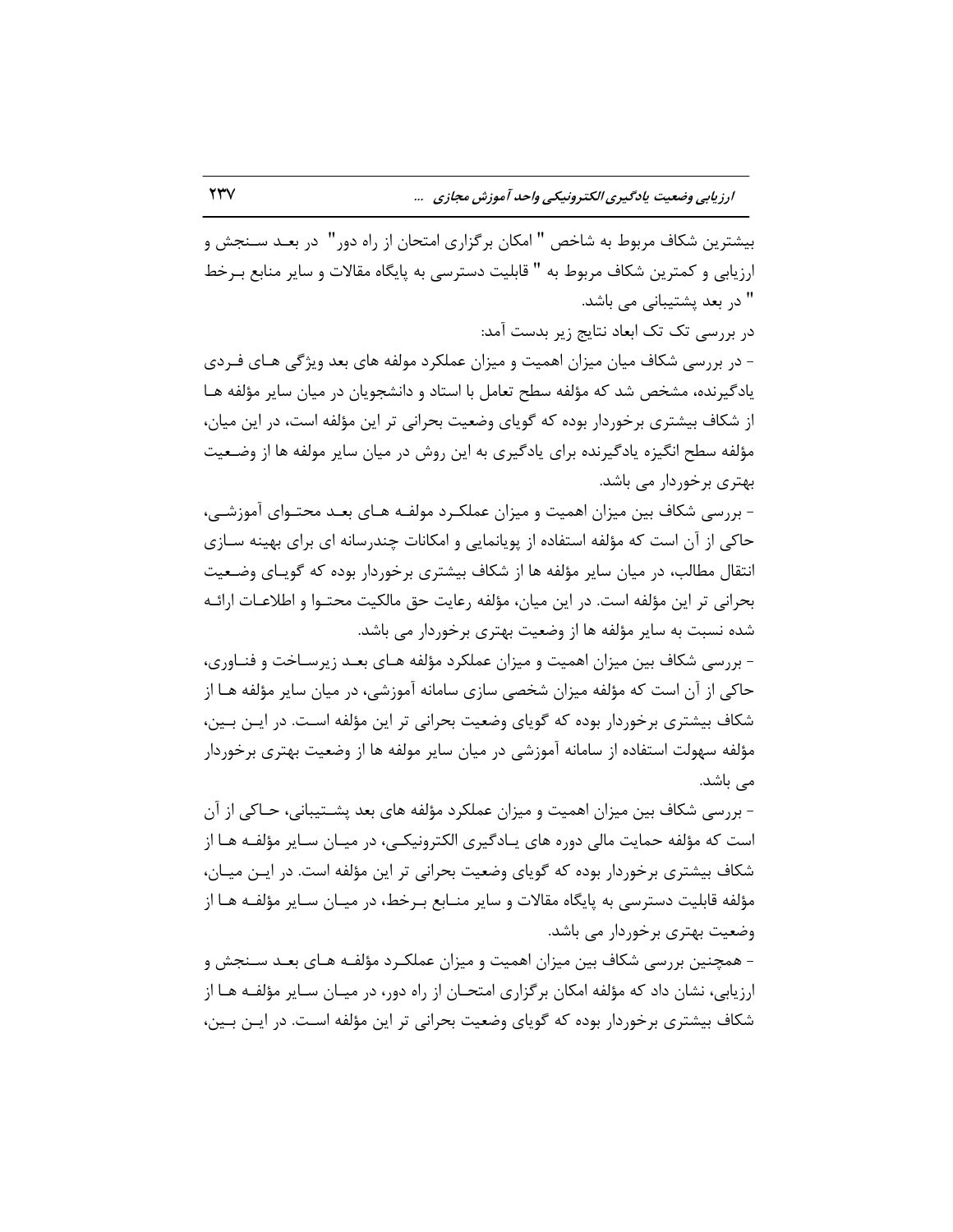بیشترین شکاف مربوط به شاخص " امکان برگزاری امتحان از راه دور" در بعـد سـنجش و ارزیابی و کمترین شکاف مربوط به " قابلیت دسترسی به پایگاه مقالات و سایر منابع بـرخط " در بعد پشتیبانی می باشد.

در بررسی تک تک ابعاد نتایج زیر بدست آمد:

– در بررسی شکاف میان میزان اهمیت و میزان عملکرد مولفه های بعد ویژگی هـای فـردی یادگیرنده، مشخص شد که مؤلفه سطح تعامل با استاد و دانشجویان در میان سایر مؤلفه هـا از شکاف بیشتری برخوردار بوده که گویای وضعیت بحرانی تر این مؤلفه است، در این میان، مؤلفه سطح انگیزه یادگیرنده برای یادگیری به این روش در میان سایر مولفه ها از وضـعیت بهتری برخوردار می باشد.

- بررسی شکاف بین میزان اهمیت و میزان عملکـرد مولفـه هـای بعـد محتـوای آموزشـی، حاکی از آن است که مؤلفه استفاده از پویانمایی و امکانات چندرسانه ای برای بهینه سـازی انتقال مطالب، در میان سایر مؤلفه ها از شکاف بیشتری برخوردار بوده که گویـای وضـعیت بحرانی تر این مؤلفه است. در این میان، مؤلفه رعایت حق مالکیت محتـوا و اطلاعـات ارائـه شده نسبت به سایر مؤلفه ها از وضعیت بهتری برخوردار می باشد.

- بررسی شکاف بین میزان اهمیت و میزان عملکرد مؤلفه هـای بعـد زیرســاخت و فنــاوری، حاکی از آن است که مؤلفه میزان شخصی سازی سامانه آموزشی، در میان سایر مؤلفه هـا از شکاف بیشتری برخوردار بوده که گویای وضعیت بحرانی تر این مؤلفه است. در ایــن بــین، مؤلفه سهولت استفاده از سامانه آموزشی در میان سایر مولفه ها از وضعیت بهتری برخوردار مے باشد.

- بررسی شکاف بین میزان اهمیت و میزان عملکرد مؤلفه های بعد پشـتیبانی، حـاکی از آن است که مؤلفه حمایت مالی دوره های یـادگیری الکترونیکـی، در میـان سـایر مؤلفـه هـا از شکاف بیشتری برخوردار بوده که گویای وضعیت بحرانی تر این مؤلفه است. در ایـن میـان، مؤلفه قابلیت دسترسی به پایگاه مقالات و سایر منـابع بـرخط، در میـان سـایر مؤلفـه هـا از وضعیت بهتری برخوردار می باشد.

- همچنین بررسی شکاف بین میزان اهمیت و میزان عملکـرد مؤلفـه هـای بعـد سـنجش و ارزیابی، نشان داد که مؤلفه امکان برگزاری امتحـان از راه دور، در میـان سـایر مؤلفـه هـا از شکاف بیشتری برخوردار بوده که گویای وضعیت بحرانی تر این مؤلفه است. در ایــن بــین،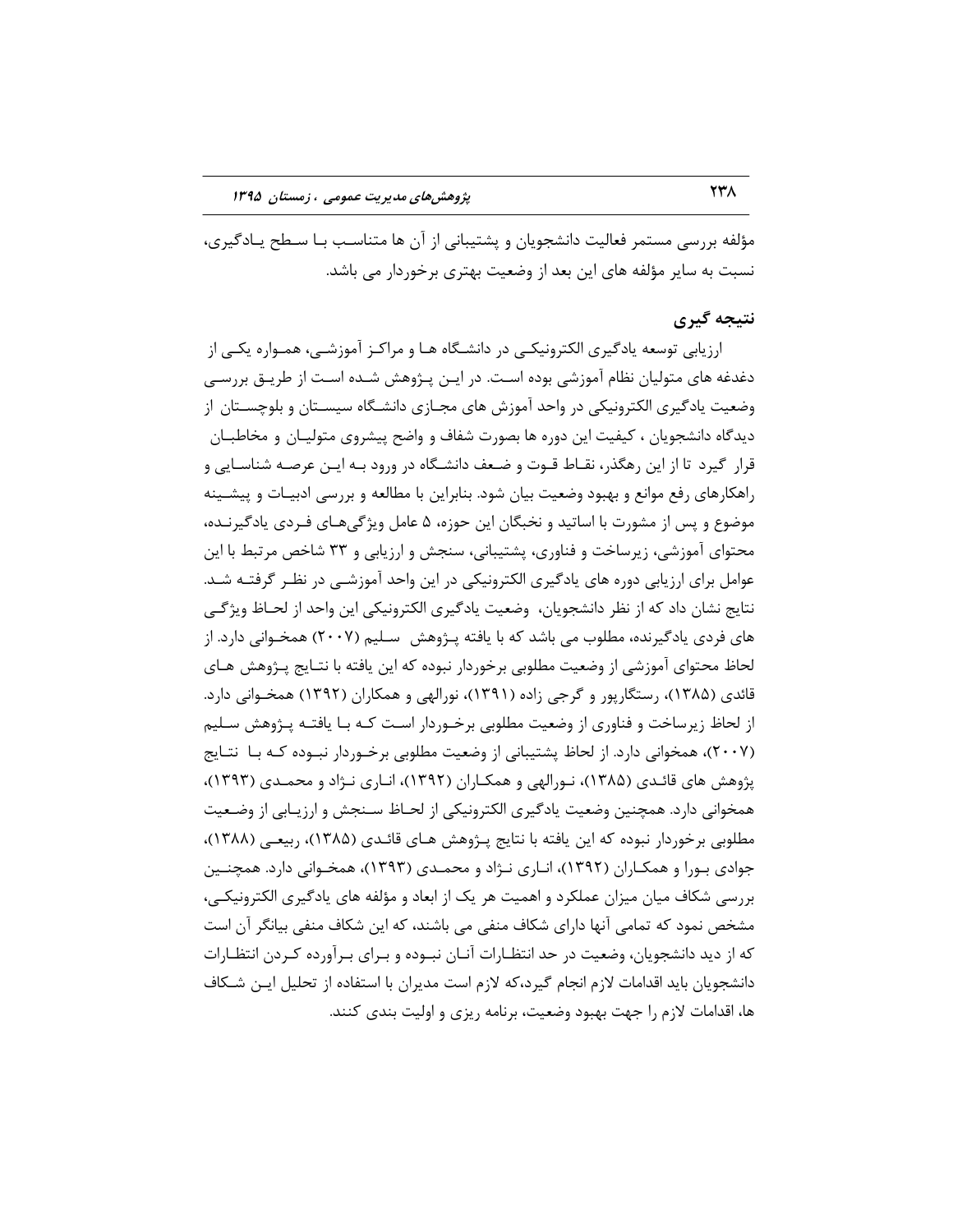مؤلفه بررسی مستمر فعالیت دانشجویان و پشتیبانی از آن ها متناسب بـا سـطح یــادگیری، نسبت به سایر مؤلفه های این بعد از وضعیت بهتری برخوردار می باشد.

## **نتیجه گیری**

ارزیابی توسعه یادگیری الکترونیکی در دانشگاه هـا و مراکـز آموزشـی، همـواره یکـی از دغدغه های متولیان نظام آموزشی بوده اسـت. در ایـن پـژوهش شـده اسـت از طریـق بررسـی وضعیت یادگیری الکترونیکی در واحد آموزش های مجـازی دانشـگاه سیسـتان و بلوچسـتان از دیدگاه دانشجویان ، کیفیت این دوره ها بصورت شفاف و واضح پیشروی متولیـان و مخاطبـان قرار گیرد تا از این رهگذر، نقـاط قـوت و ضـعف دانشـگاه در ورود بـه ایـن عرصـه شناسـایی و راهکارهای رفع موانع و بهبود وضعیت بیان شود. بنابراین با مطالعه و بررسی ادبیـات و پیشــینه موضوع و پس از مشورت با اساتید و نخبگان این حوزه، ۵ عامل ویژگی هـای فـردی یادگیرنــده، محتوای آموزشی، زیرساخت و فناوری، پشتیبانی، سنجش و ارزیابی و ۳۳ شاخص مرتبط با این عوامل برای ارزیابی دوره های یادگیری الکترونیکی در این واحد آموزشـی در نظـر گرفتــه شــد. نتایج نشان داد که از نظر دانشجویان، وضعیت یادگیری الکترونیکی این واحد از لحـاظ ویژگـی های فردی یادگیرنده، مطلوب می باشد که با یافته پـژوهش ِ سـلیم (۲۰۰۷) همخـوانی دارد. از لحاظ محتوای آموزشی از وضعیت مطلوبی برخوردار نبوده که این یافته با نتـایج پـژوهش هـای قائدی (۱۳۸۵)، رستگارپور و گرجی زاده (۱۳۹۱)، نورالهی و همکاران (۱۳۹۲) همخـوانی دارد. از لحاظ زیرساخت و فناوری از وضعیت مطلوبی برخـوردار اسـت کـه بـا یافتـه پـژوهش سـلیم (۲۰۰۷)، همخوانی دارد. از لحاظ پشتیبانی از وضعیت مطلوبی برخـوردار نبـوده کـه بـا نتـایج پژوهش های قائـدی (۱۳۸۵)، نـورالهی و همکـاران (۱۳۹۲)، انـاری نـژاد و محمـدی (۱۳۹۳)، همخوانی دارد. همچنین وضعیت یادگیری الکترونیکی از لحـاظ سـنجش و ارزیـابی از وضـعیت مطلوبی برخوردار نبوده که این یافته با نتایج پـژوهش هـای قائـدی (۱۳۸۵)، ربیعـی (۱۳۸۸)، جوادی بـورا و همکـاران (۱۳۹۲)، انـاری نـژاد و محمـدی (۱۳۹۳)، همخـوانی دارد. همچنـین بررسی شکاف میان میزان عملکرد و اهمیت هر یک از ابعاد و مؤلفه های یادگیری الکترونیکی، مشخص نمود که تمامی آنها دارای شکاف منفی می باشند، که این شکاف منفی بیانگر آن است که از دید دانشجویان، وضعیت در حد انتظـارات آنـان نبـوده و بـرای بـرآورده کـردن انتظـارات دانشجویان باید اقدامات لازم انجام گیرد،که لازم است مدیران با استفاده از تحلیل ایـن شـکاف ها، اقدامات لازم را جهت بهبود وضعیت، برنامه ریزی و اولیت بندی کنند.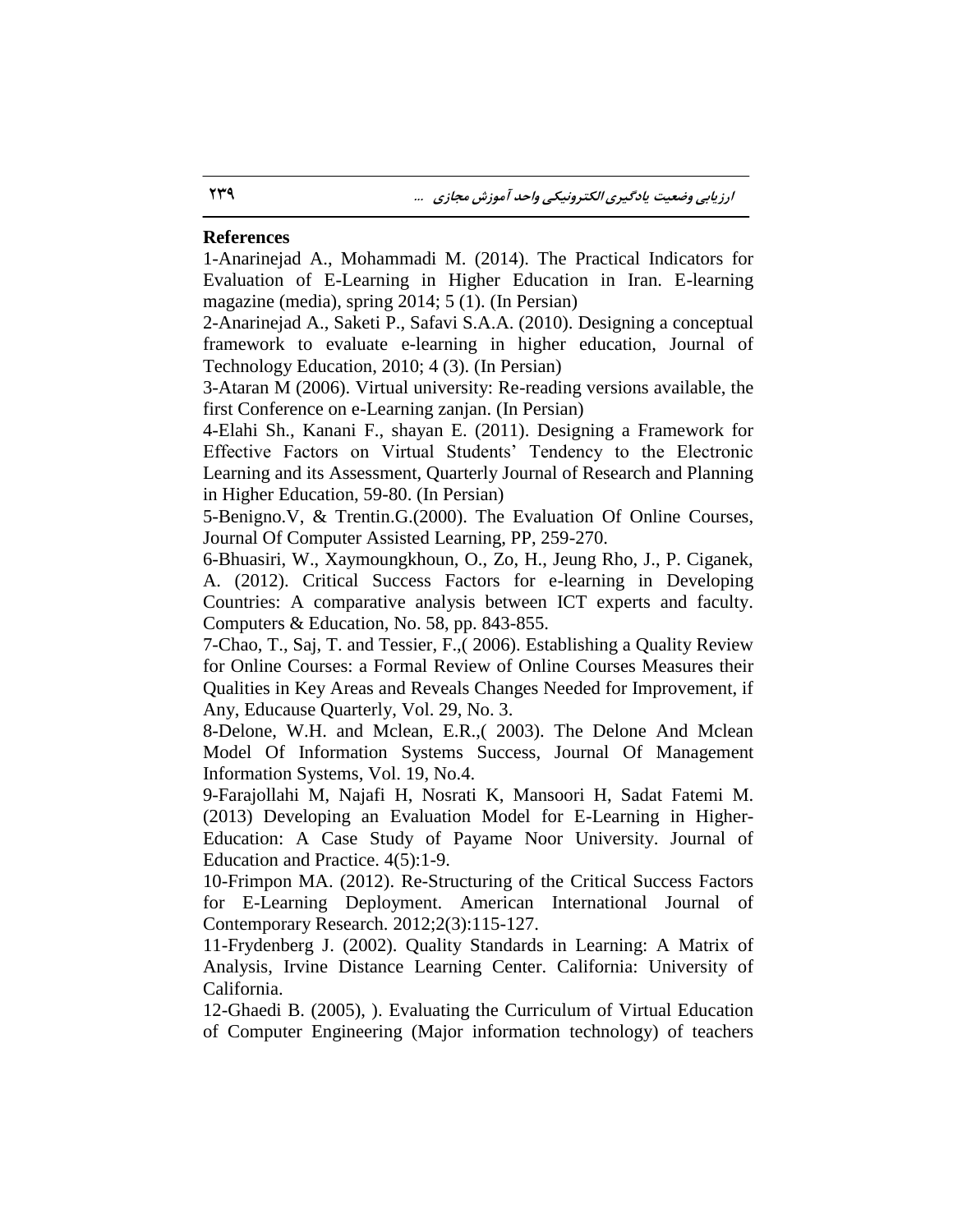#### **References**

1-Anarinejad A., Mohammadi M. (2014). The Practical Indicators for Evaluation of E-Learning in Higher Education in Iran. E-learning magazine (media), spring 2014; 5 (1). (In Persian)

2-Anarinejad A., Saketi P., Safavi S.A.A. (2010). Designing a conceptual framework to evaluate e-learning in higher education, Journal of Technology Education, 2010; 4 (3). (In Persian)

3-Ataran M (2006). Virtual university: Re-reading versions available, the first Conference on e-Learning zanjan. (In Persian)

4-Elahi Sh., Kanani F., shayan E. (2011). Designing a Framework for Effective Factors on Virtual Students' Tendency to the Electronic Learning and its Assessment, Quarterly Journal of Research and Planning in Higher Education, 59-80. (In Persian)

5-Benigno.V, & Trentin.G.(2000). The Evaluation Of Online Courses, Journal Of Computer Assisted Learning, PP, 259-270.

6-Bhuasiri, W., Xaymoungkhoun, O., Zo, H., Jeung Rho, J., P. Ciganek, A. (2012). Critical Success Factors for e-learning in Developing Countries: A comparative analysis between ICT experts and faculty. Computers & Education, No. 58, pp. 843-855.

7-Chao, T., Saj, T. and Tessier, F.,( 2006). Establishing a Quality Review for Online Courses: a Formal Review of Online Courses Measures their Qualities in Key Areas and Reveals Changes Needed for Improvement, if Any, Educause Quarterly, Vol. 29, No. 3.

8-Delone, W.H. and Mclean, E.R.,( 2003). The Delone And Mclean Model Of Information Systems Success, Journal Of Management Information Systems, Vol. 19, No.4.

9-Farajollahi M, Najafi H, Nosrati K, Mansoori H, Sadat Fatemi M. (2013) Developing an Evaluation Model for E-Learning in Higher-Education: A Case Study of Payame Noor University. Journal of Education and Practice. 4(5):1-9.

10-Frimpon MA. (2012). Re-Structuring of the Critical Success Factors for E-Learning Deployment. American International Journal of Contemporary Research. 2012;2(3):115-127.

11-Frydenberg J. (2002). Quality Standards in Learning: A Matrix of Analysis, Irvine Distance Learning Center. California: University of California.

12-Ghaedi B. (2005), ). Evaluating the Curriculum of Virtual Education of Computer Engineering (Major information technology) of teachers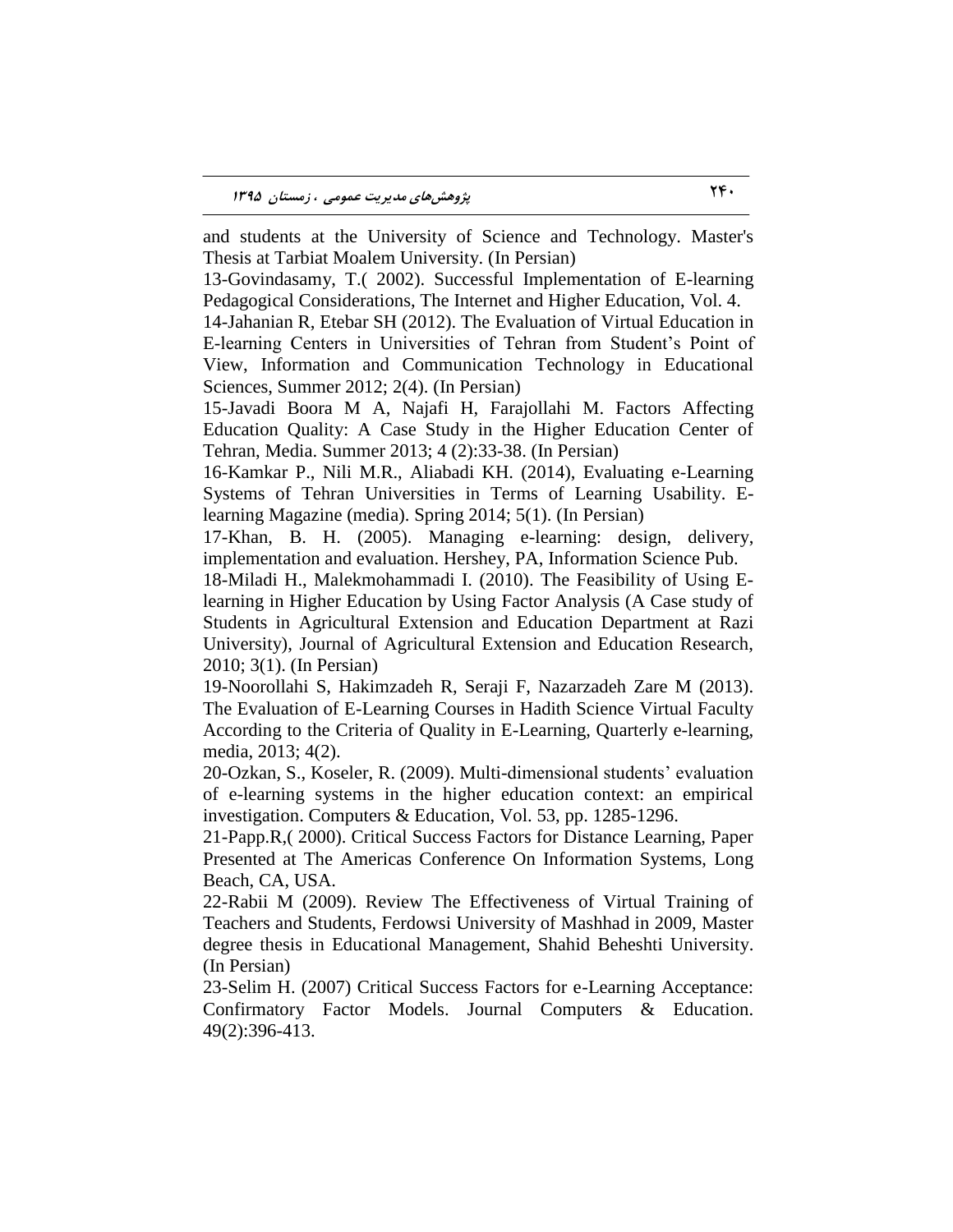and students at the University of Science and Technology. Master's Thesis at Tarbiat Moalem University. (In Persian)

13-Govindasamy, T.( 2002). Successful Implementation of E-learning Pedagogical Considerations, The Internet and Higher Education, Vol. 4.

14-Jahanian R, Etebar SH (2012). The Evaluation of Virtual Education in E-learning Centers in Universities of Tehran from Student's Point of View, Information and Communication Technology in Educational Sciences, Summer 2012; 2(4). (In Persian)

15-Javadi Boora M A, Najafi H, Farajollahi M. Factors Affecting Education Quality: A Case Study in the Higher Education Center of Tehran, Media. Summer 2013; 4 (2):33-38. (In Persian)

16-Kamkar P., Nili M.R., Aliabadi KH. (2014), Evaluating e-Learning Systems of Tehran Universities in Terms of Learning Usability. Elearning Magazine (media). Spring 2014; 5(1). (In Persian)

17-Khan, B. H. (2005). Managing e-learning: design, delivery, implementation and evaluation. Hershey, PA, Information Science Pub.

18-Miladi H., Malekmohammadi I. (2010). The Feasibility of Using Elearning in Higher Education by Using Factor Analysis (A Case study of Students in Agricultural Extension and Education Department at Razi University), Journal of Agricultural Extension and Education Research, 2010; 3(1). (In Persian)

19-Noorollahi S, Hakimzadeh R, Seraji F, Nazarzadeh Zare M (2013). The Evaluation of E-Learning Courses in Hadith Science Virtual Faculty According to the Criteria of Quality in E-Learning, Quarterly e-learning, media, 2013; 4(2).

20-Ozkan, S., Koseler, R. (2009). Multi-dimensional students' evaluation of e-learning systems in the higher education context: an empirical investigation. Computers & Education, Vol. 53, pp. 1285-1296.

21-Papp.R,( 2000). Critical Success Factors for Distance Learning, Paper Presented at The Americas Conference On Information Systems, Long Beach, CA, USA.

22-Rabii M (2009). Review The Effectiveness of Virtual Training of Teachers and Students, Ferdowsi University of Mashhad in 2009, Master degree thesis in Educational Management, Shahid Beheshti University. (In Persian)

23-Selim H. (2007) Critical Success Factors for e-Learning Acceptance: Confirmatory Factor Models. Journal Computers & Education. 49(2):396-413.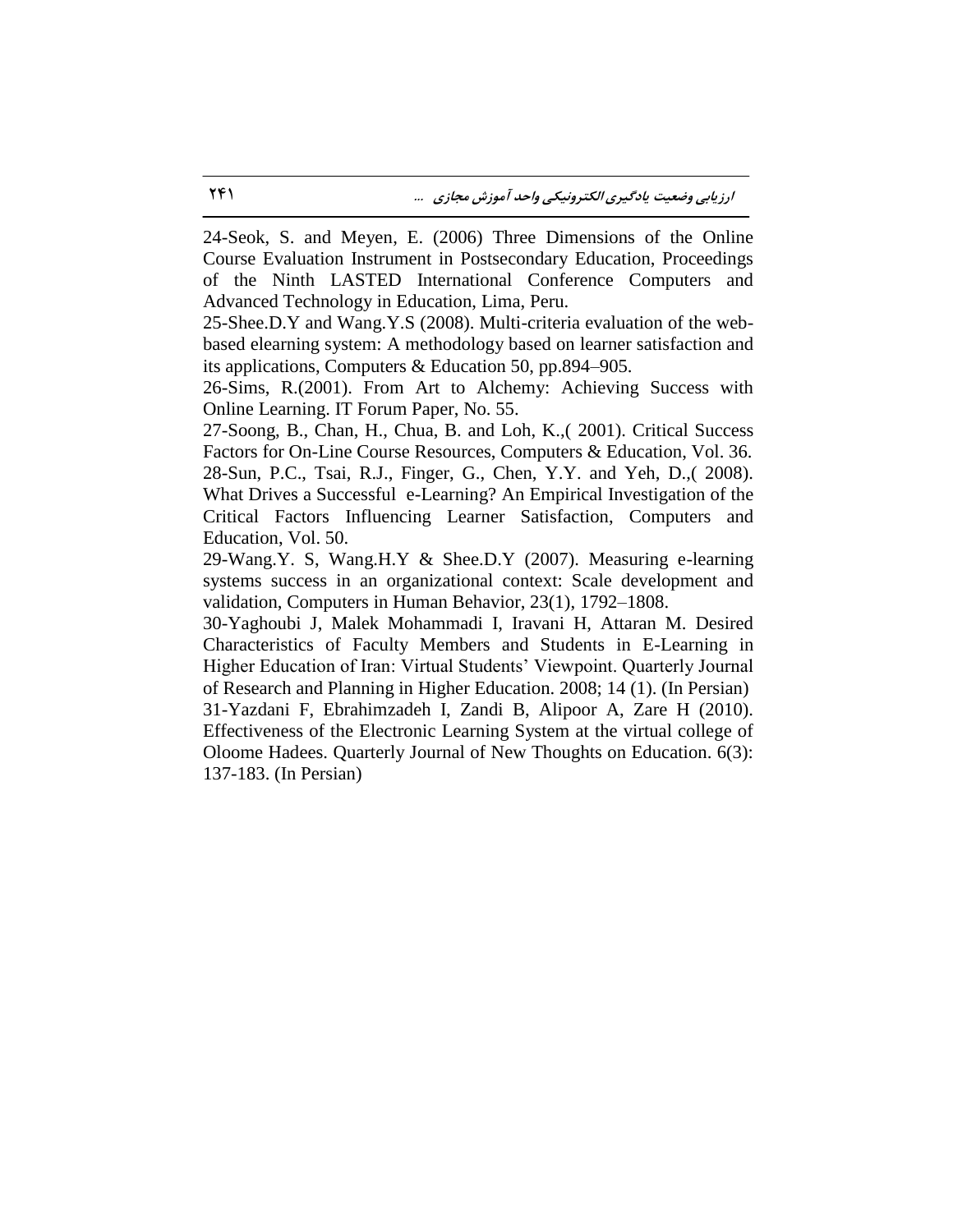24-Seok, S. and Meyen, E. (2006) Three Dimensions of the Online Course Evaluation Instrument in Postsecondary Education, Proceedings of the Ninth LASTED International Conference Computers and Advanced Technology in Education, Lima, Peru.

25-Shee.D.Y and Wang.Y.S (2008). Multi-criteria evaluation of the webbased elearning system: A methodology based on learner satisfaction and its applications, Computers & Education 50, pp.894–905.

26-Sims, R.(2001). From Art to Alchemy: Achieving Success with Online Learning. IT Forum Paper, No. 55.

27-Soong, B., Chan, H., Chua, B. and Loh, K.,( 2001). Critical Success Factors for On-Line Course Resources, Computers & Education, Vol. 36. 28-Sun, P.C., Tsai, R.J., Finger, G., Chen, Y.Y. and Yeh, D.,( 2008). What Drives a Successful e-Learning? An Empirical Investigation of the Critical Factors Influencing Learner Satisfaction, Computers and Education, Vol. 50.

29-Wang.Y. S, Wang.H.Y & Shee.D.Y (2007). Measuring e-learning systems success in an organizational context: Scale development and validation, Computers in Human Behavior, 23(1), 1792–1808.

30-Yaghoubi J, Malek Mohammadi I, Iravani H, Attaran M. Desired Characteristics of Faculty Members and Students in E-Learning in Higher Education of Iran: Virtual Students' Viewpoint. Quarterly Journal of Research and Planning in Higher Education. 2008; 14 (1). (In Persian) 31-Yazdani F, Ebrahimzadeh I, Zandi B, Alipoor A, Zare H (2010). Effectiveness of the Electronic Learning System at the virtual college of Oloome Hadees. Quarterly Journal of New Thoughts on Education. 6(3): 137-183. (In Persian)